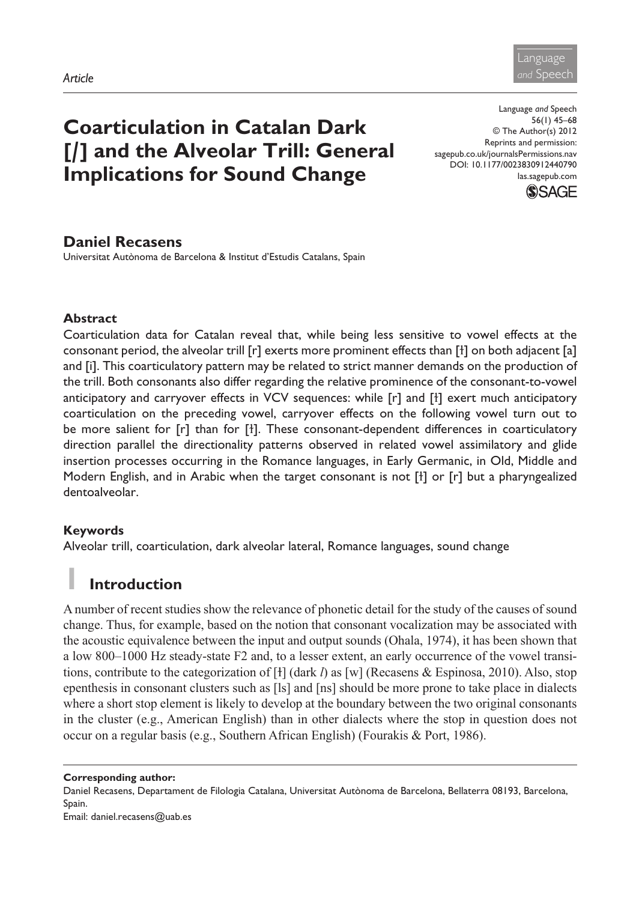

# **Coarticulation in Catalan Dark [***|***] and the Alveolar Trill: General Implications for Sound Change**

Language *and* Speech 56(1) 45–68 © The Author(s) 2012 Reprints and permission: sagepub.co.uk/journalsPermissions.nav DOI: 10.1177/0023830912440790 las.sagepub.com



## **Daniel Recasens**

Universitat Autònoma de Barcelona & Institut d'Estudis Catalans, Spain

#### **Abstract**

Coarticulation data for Catalan reveal that, while being less sensitive to vowel effects at the consonant period, the alveolar trill [r] exerts more prominent effects than [ɫ] on both adjacent [a] and [i]. This coarticulatory pattern may be related to strict manner demands on the production of the trill. Both consonants also differ regarding the relative prominence of the consonant-to-vowel anticipatory and carryover effects in VCV sequences: while [r] and [ł] exert much anticipatory coarticulation on the preceding vowel, carryover effects on the following vowel turn out to be more salient for [r] than for [ł]. These consonant-dependent differences in coarticulatory direction parallel the directionality patterns observed in related vowel assimilatory and glide insertion processes occurring in the Romance languages, in Early Germanic, in Old, Middle and Modern English, and in Arabic when the target consonant is not [ɫ] or [r] but a pharyngealized dentoalveolar.

#### **Keywords**

Alveolar trill, coarticulation, dark alveolar lateral, Romance languages, sound change

# **1 Introduction**

A number of recent studies show the relevance of phonetic detail for the study of the causes of sound change. Thus, for example, based on the notion that consonant vocalization may be associated with the acoustic equivalence between the input and output sounds (Ohala, 1974), it has been shown that a low 800–1000 Hz steady-state F2 and, to a lesser extent, an early occurrence of the vowel transitions, contribute to the categorization of [ɫ] (dark *l*) as [w] (Recasens & Espinosa, 2010). Also, stop epenthesis in consonant clusters such as [ls] and [ns] should be more prone to take place in dialects where a short stop element is likely to develop at the boundary between the two original consonants in the cluster (e.g., American English) than in other dialects where the stop in question does not occur on a regular basis (e.g., Southern African English) (Fourakis & Port, 1986).

**Corresponding author:**

Daniel Recasens, Departament de Filologia Catalana, Universitat Autònoma de Barcelona, Bellaterra 08193, Barcelona, Spain. Email: daniel.recasens@uab.es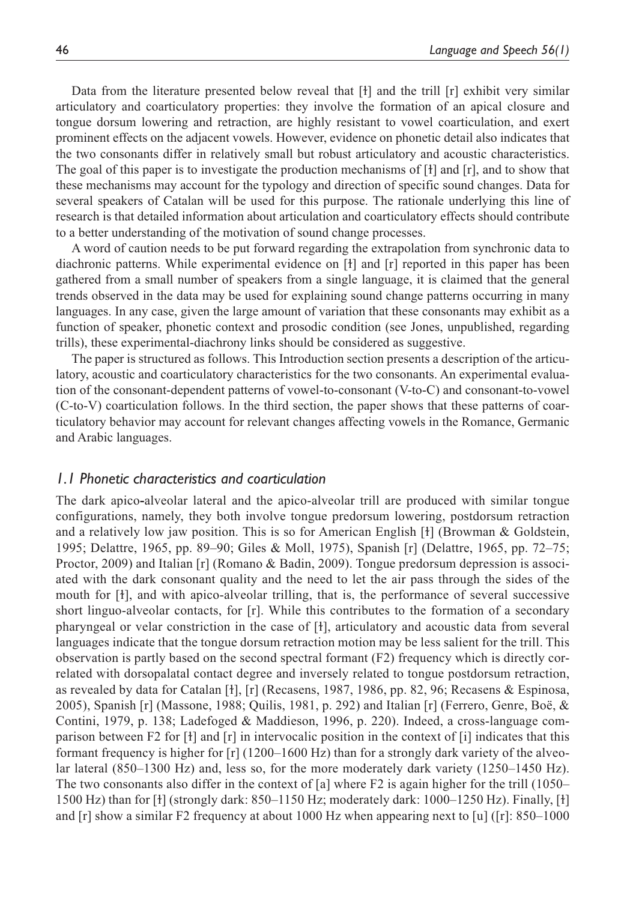Data from the literature presented below reveal that [t] and the trill [r] exhibit very similar articulatory and coarticulatory properties: they involve the formation of an apical closure and tongue dorsum lowering and retraction, are highly resistant to vowel coarticulation, and exert prominent effects on the adjacent vowels. However, evidence on phonetic detail also indicates that the two consonants differ in relatively small but robust articulatory and acoustic characteristics. The goal of this paper is to investigate the production mechanisms of [ɫ] and [r], and to show that these mechanisms may account for the typology and direction of specific sound changes. Data for several speakers of Catalan will be used for this purpose. The rationale underlying this line of research is that detailed information about articulation and coarticulatory effects should contribute to a better understanding of the motivation of sound change processes.

A word of caution needs to be put forward regarding the extrapolation from synchronic data to diachronic patterns. While experimental evidence on [ɫ] and [r] reported in this paper has been gathered from a small number of speakers from a single language, it is claimed that the general trends observed in the data may be used for explaining sound change patterns occurring in many languages. In any case, given the large amount of variation that these consonants may exhibit as a function of speaker, phonetic context and prosodic condition (see Jones, unpublished, regarding trills), these experimental-diachrony links should be considered as suggestive.

The paper is structured as follows. This Introduction section presents a description of the articulatory, acoustic and coarticulatory characteristics for the two consonants. An experimental evaluation of the consonant-dependent patterns of vowel-to-consonant (V-to-C) and consonant-to-vowel (C-to-V) coarticulation follows. In the third section, the paper shows that these patterns of coarticulatory behavior may account for relevant changes affecting vowels in the Romance, Germanic and Arabic languages.

#### *1.1 Phonetic characteristics and coarticulation*

The dark apico**-**alveolar lateral and the apico-alveolar trill are produced with similar tongue configurations, namely, they both involve tongue predorsum lowering, postdorsum retraction and a relatively low jaw position. This is so for American English [ɫ] (Browman & Goldstein, 1995; Delattre, 1965, pp. 89–90; Giles & Moll, 1975), Spanish [r] (Delattre, 1965, pp. 72–75; Proctor, 2009) and Italian [r] (Romano & Badin, 2009). Tongue predorsum depression is associated with the dark consonant quality and the need to let the air pass through the sides of the mouth for [ɫ], and with apico-alveolar trilling, that is, the performance of several successive short linguo-alveolar contacts, for [r]. While this contributes to the formation of a secondary pharyngeal or velar constriction in the case of [ɫ], articulatory and acoustic data from several languages indicate that the tongue dorsum retraction motion may be less salient for the trill. This observation is partly based on the second spectral formant (F2) frequency which is directly correlated with dorsopalatal contact degree and inversely related to tongue postdorsum retraction, as revealed by data for Catalan [ɫ], [r] (Recasens, 1987, 1986, pp. 82, 96; Recasens & Espinosa, 2005), Spanish [r] (Massone, 1988; Quilis, 1981, p. 292) and Italian [r] (Ferrero, Genre, Boë, & Contini, 1979, p. 138; Ladefoged & Maddieson, 1996, p. 220). Indeed, a cross-language comparison between F2 for [ɫ] and [r] in intervocalic position in the context of [i] indicates that this formant frequency is higher for [r] (1200–1600 Hz) than for a strongly dark variety of the alveolar lateral (850–1300 Hz) and, less so, for the more moderately dark variety (1250–1450 Hz). The two consonants also differ in the context of [a] where F2 is again higher for the trill (1050– 1500 Hz) than for [ɫ] (strongly dark: 850–1150 Hz; moderately dark: 1000–1250 Hz). Finally, [ɫ] and [r] show a similar F2 frequency at about 1000 Hz when appearing next to [u] ([r]: 850–1000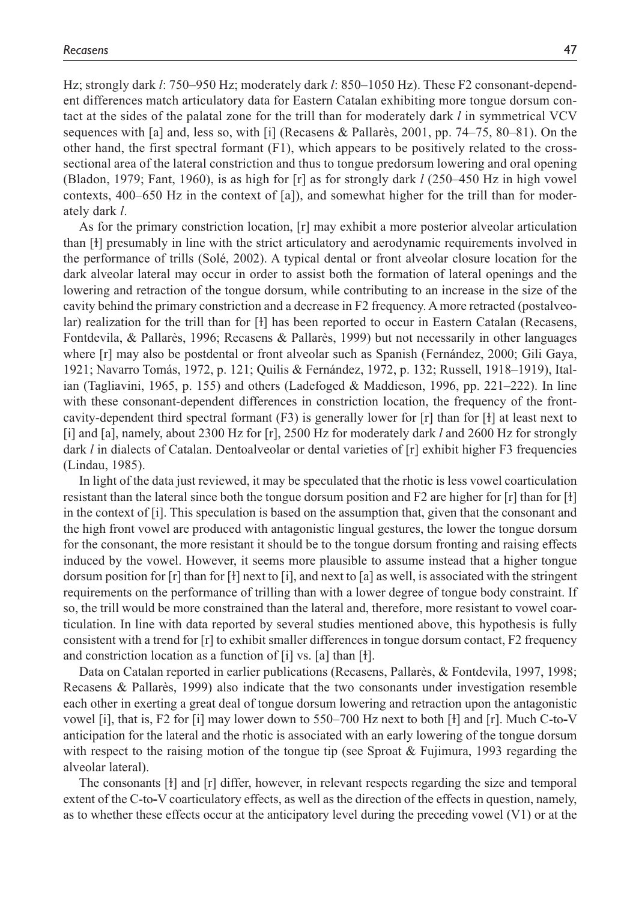Hz; strongly dark *l*: 750–950 Hz; moderately dark *l*: 850–1050 Hz). These F2 consonant-dependent differences match articulatory data for Eastern Catalan exhibiting more tongue dorsum contact at the sides of the palatal zone for the trill than for moderately dark *l* in symmetrical VCV sequences with [a] and, less so, with [i] (Recasens & Pallarès, 2001, pp. 74–75, 80–81). On the other hand, the first spectral formant (F1), which appears to be positively related to the crosssectional area of the lateral constriction and thus to tongue predorsum lowering and oral opening (Bladon, 1979; Fant, 1960), is as high for [r] as for strongly dark *l* (250–450 Hz in high vowel contexts, 400–650 Hz in the context of [a]), and somewhat higher for the trill than for moderately dark *l*.

As for the primary constriction location, [r] may exhibit a more posterior alveolar articulation than [ɫ] presumably in line with the strict articulatory and aerodynamic requirements involved in the performance of trills (Solé, 2002). A typical dental or front alveolar closure location for the dark alveolar lateral may occur in order to assist both the formation of lateral openings and the lowering and retraction of the tongue dorsum, while contributing to an increase in the size of the cavity behind the primary constriction and a decrease in F2 frequency. A more retracted (postalveolar) realization for the trill than for [ɫ] has been reported to occur in Eastern Catalan (Recasens, Fontdevila, & Pallarès, 1996; Recasens & Pallarès, 1999) but not necessarily in other languages where [r] may also be postdental or front alveolar such as Spanish (Fernández, 2000; Gili Gaya, 1921; Navarro Tomás, 1972, p. 121; Quilis & Fernández, 1972, p. 132; Russell, 1918–1919), Italian (Tagliavini, 1965, p. 155) and others (Ladefoged & Maddieson, 1996, pp. 221–222). In line with these consonant-dependent differences in constriction location, the frequency of the frontcavity-dependent third spectral formant  $(F3)$  is generally lower for  $[r]$  than for  $[f]$  at least next to [i] and [a], namely, about 2300 Hz for [r], 2500 Hz for moderately dark *l* and 2600 Hz for strongly dark *l* in dialects of Catalan. Dentoalveolar or dental varieties of [r] exhibit higher F3 frequencies (Lindau, 1985).

In light of the data just reviewed, it may be speculated that the rhotic is less vowel coarticulation resistant than the lateral since both the tongue dorsum position and F2 are higher for [r] than for [ɫ] in the context of [i]. This speculation is based on the assumption that, given that the consonant and the high front vowel are produced with antagonistic lingual gestures, the lower the tongue dorsum for the consonant, the more resistant it should be to the tongue dorsum fronting and raising effects induced by the vowel. However, it seems more plausible to assume instead that a higher tongue dorsum position for  $[r]$  than for  $[t]$  next to  $[i]$ , and next to  $[a]$  as well, is associated with the stringent requirements on the performance of trilling than with a lower degree of tongue body constraint. If so, the trill would be more constrained than the lateral and, therefore, more resistant to vowel coarticulation. In line with data reported by several studies mentioned above, this hypothesis is fully consistent with a trend for [r] to exhibit smaller differences in tongue dorsum contact, F2 frequency and constriction location as a function of [i] vs. [a] than [ɫ].

Data on Catalan reported in earlier publications (Recasens, Pallarès, & Fontdevila, 1997, 1998; Recasens & Pallarès, 1999) also indicate that the two consonants under investigation resemble each other in exerting a great deal of tongue dorsum lowering and retraction upon the antagonistic vowel [i], that is, F2 for [i] may lower down to 550–700 Hz next to both [ɫ] and [r]. Much C-to**-**V anticipation for the lateral and the rhotic is associated with an early lowering of the tongue dorsum with respect to the raising motion of the tongue tip (see Sproat & Fujimura, 1993 regarding the alveolar lateral).

The consonants [ɫ] and [r] differ, however, in relevant respects regarding the size and temporal extent of the C-to**-**V coarticulatory effects, as well as the direction of the effects in question, namely, as to whether these effects occur at the anticipatory level during the preceding vowel (V1) or at the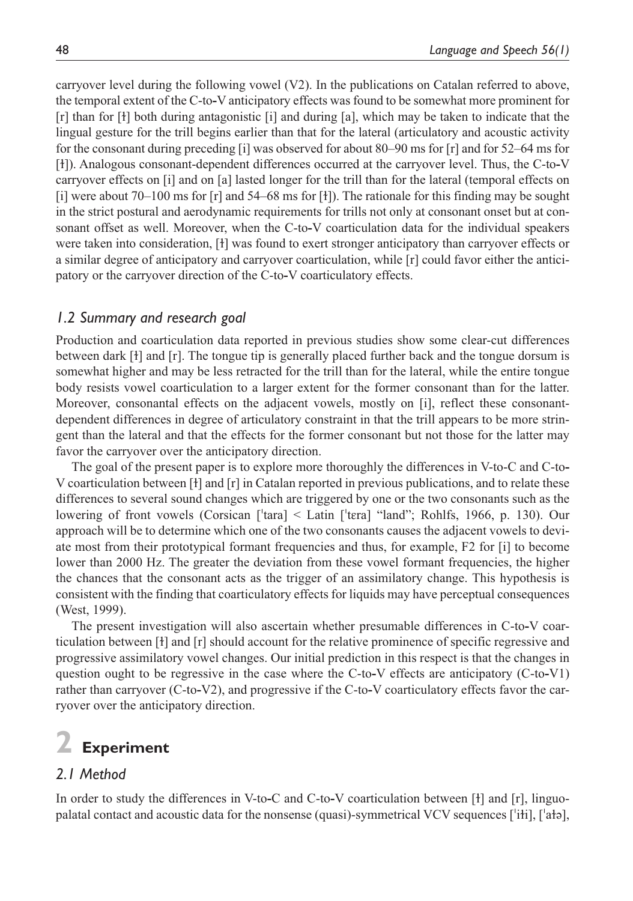carryover level during the following vowel (V2). In the publications on Catalan referred to above, the temporal extent of the C-to**-**V anticipatory effects was found to be somewhat more prominent for [r] than for [ɫ] both during antagonistic [i] and during [a], which may be taken to indicate that the lingual gesture for the trill begins earlier than that for the lateral (articulatory and acoustic activity for the consonant during preceding [i] was observed for about 80–90 ms for [r] and for 52–64 ms for [ɫ]). Analogous consonant-dependent differences occurred at the carryover level. Thus, the C-to**-**V carryover effects on [i] and on [a] lasted longer for the trill than for the lateral (temporal effects on [i] were about 70–100 ms for [r] and 54–68 ms for [ɫ]). The rationale for this finding may be sought in the strict postural and aerodynamic requirements for trills not only at consonant onset but at consonant offset as well. Moreover, when the C-to**-**V coarticulation data for the individual speakers were taken into consideration, [ɫ] was found to exert stronger anticipatory than carryover effects or a similar degree of anticipatory and carryover coarticulation, while [r] could favor either the anticipatory or the carryover direction of the C-to**-**V coarticulatory effects.

### *1.2 Summary and research goal*

Production and coarticulation data reported in previous studies show some clear-cut differences between dark [ɫ] and [r]. The tongue tip is generally placed further back and the tongue dorsum is somewhat higher and may be less retracted for the trill than for the lateral, while the entire tongue body resists vowel coarticulation to a larger extent for the former consonant than for the latter. Moreover, consonantal effects on the adjacent vowels, mostly on [i], reflect these consonantdependent differences in degree of articulatory constraint in that the trill appears to be more stringent than the lateral and that the effects for the former consonant but not those for the latter may favor the carryover over the anticipatory direction.

The goal of the present paper is to explore more thoroughly the differences in V-to-C and C-to**-**V coarticulation between [ɫ] and [r] in Catalan reported in previous publications, and to relate these differences to several sound changes which are triggered by one or the two consonants such as the lowering of front vowels (Corsican [ˈtara] < Latin [ˈtɛra] "land"; Rohlfs, 1966, p. 130). Our approach will be to determine which one of the two consonants causes the adjacent vowels to deviate most from their prototypical formant frequencies and thus, for example, F2 for [i] to become lower than 2000 Hz. The greater the deviation from these vowel formant frequencies, the higher the chances that the consonant acts as the trigger of an assimilatory change. This hypothesis is consistent with the finding that coarticulatory effects for liquids may have perceptual consequences (West, 1999).

The present investigation will also ascertain whether presumable differences in C-to**-**V coarticulation between [ɫ] and [r] should account for the relative prominence of specific regressive and progressive assimilatory vowel changes. Our initial prediction in this respect is that the changes in question ought to be regressive in the case where the C-to**-**V effects are anticipatory (C-to**-**V1) rather than carryover (C-to**-**V2), and progressive if the C-to**-**V coarticulatory effects favor the carryover over the anticipatory direction.

# **2 Experiment**

### *2.1 Method*

In order to study the differences in V-to**-**C and C-to**-**V coarticulation between [ɫ] and [r], linguopalatal contact and acoustic data for the nonsense (quasi)-symmetrical VCV sequences [ˈiɫi], [ˈaɫə],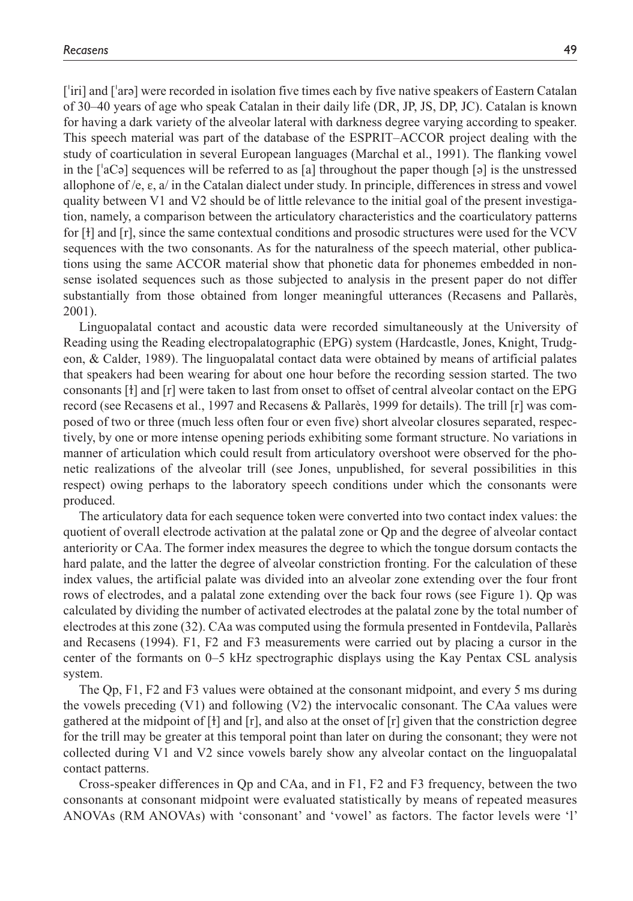[ˈiri] and [ˈarə] were recorded in isolation five times each by five native speakers of Eastern Catalan of 30–40 years of age who speak Catalan in their daily life (DR, JP, JS, DP, JC). Catalan is known for having a dark variety of the alveolar lateral with darkness degree varying according to speaker. This speech material was part of the database of the ESPRIT–ACCOR project dealing with the study of coarticulation in several European languages (Marchal et al., 1991). The flanking vowel in the [ˈaCə] sequences will be referred to as [a] throughout the paper though [ə] is the unstressed allophone of /e, ɛ, a/ in the Catalan dialect under study. In principle, differences in stress and vowel quality between V1 and V2 should be of little relevance to the initial goal of the present investigation, namely, a comparison between the articulatory characteristics and the coarticulatory patterns for [ɫ] and [r], since the same contextual conditions and prosodic structures were used for the VCV sequences with the two consonants. As for the naturalness of the speech material, other publications using the same ACCOR material show that phonetic data for phonemes embedded in nonsense isolated sequences such as those subjected to analysis in the present paper do not differ substantially from those obtained from longer meaningful utterances (Recasens and Pallarès, 2001).

Linguopalatal contact and acoustic data were recorded simultaneously at the University of Reading using the Reading electropalatographic (EPG) system (Hardcastle, Jones, Knight, Trudgeon, & Calder, 1989). The linguopalatal contact data were obtained by means of artificial palates that speakers had been wearing for about one hour before the recording session started. The two consonants [ɫ] and [r] were taken to last from onset to offset of central alveolar contact on the EPG record (see Recasens et al., 1997 and Recasens & Pallarès, 1999 for details). The trill [r] was composed of two or three (much less often four or even five) short alveolar closures separated, respectively, by one or more intense opening periods exhibiting some formant structure. No variations in manner of articulation which could result from articulatory overshoot were observed for the phonetic realizations of the alveolar trill (see Jones, unpublished, for several possibilities in this respect) owing perhaps to the laboratory speech conditions under which the consonants were produced.

The articulatory data for each sequence token were converted into two contact index values: the quotient of overall electrode activation at the palatal zone or Qp and the degree of alveolar contact anteriority or CAa. The former index measures the degree to which the tongue dorsum contacts the hard palate, and the latter the degree of alveolar constriction fronting. For the calculation of these index values, the artificial palate was divided into an alveolar zone extending over the four front rows of electrodes, and a palatal zone extending over the back four rows (see Figure 1). Qp was calculated by dividing the number of activated electrodes at the palatal zone by the total number of electrodes at this zone (32). CAa was computed using the formula presented in Fontdevila, Pallarès and Recasens (1994). F1, F2 and F3 measurements were carried out by placing a cursor in the center of the formants on 0–5 kHz spectrographic displays using the Kay Pentax CSL analysis system.

The Qp, F1, F2 and F3 values were obtained at the consonant midpoint, and every 5 ms during the vowels preceding (V1) and following (V2) the intervocalic consonant. The CAa values were gathered at the midpoint of  $\lceil \mathbf{r} \rceil$  and  $\lceil \mathbf{r} \rceil$ , and also at the onset of  $\lceil \mathbf{r} \rceil$  given that the constriction degree for the trill may be greater at this temporal point than later on during the consonant; they were not collected during V1 and V2 since vowels barely show any alveolar contact on the linguopalatal contact patterns.

Cross-speaker differences in Qp and CAa, and in F1, F2 and F3 frequency, between the two consonants at consonant midpoint were evaluated statistically by means of repeated measures ANOVAs (RM ANOVAs) with 'consonant' and 'vowel' as factors. The factor levels were 'l'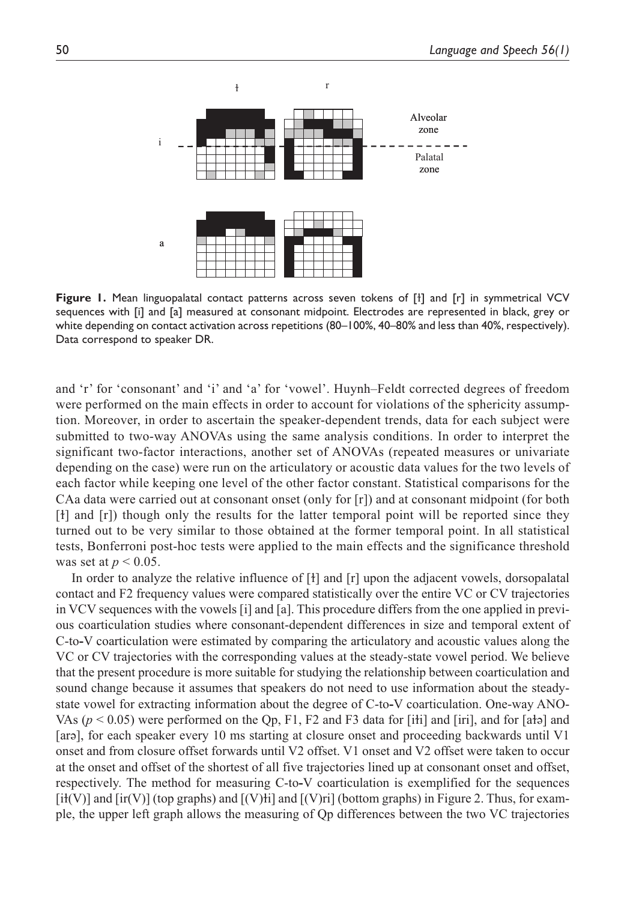

**Figure 1.** Mean linguopalatal contact patterns across seven tokens of [ɫ] and [r] in symmetrical VCV sequences with [i] and [a] measured at consonant midpoint. Electrodes are represented in black, grey or white depending on contact activation across repetitions (80–100%, 40–80% and less than 40%, respectively). Data correspond to speaker DR.

and 'r' for 'consonant' and 'i' and 'a' for 'vowel'. Huynh–Feldt corrected degrees of freedom were performed on the main effects in order to account for violations of the sphericity assumption. Moreover, in order to ascertain the speaker-dependent trends, data for each subject were submitted to two-way ANOVAs using the same analysis conditions. In order to interpret the significant two-factor interactions, another set of ANOVAs (repeated measures or univariate depending on the case) were run on the articulatory or acoustic data values for the two levels of each factor while keeping one level of the other factor constant. Statistical comparisons for the CAa data were carried out at consonant onset (only for [r]) and at consonant midpoint (for both [ɫ] and [r]) though only the results for the latter temporal point will be reported since they turned out to be very similar to those obtained at the former temporal point. In all statistical tests, Bonferroni post-hoc tests were applied to the main effects and the significance threshold was set at *p* < 0.05.

In order to analyze the relative influence of  $\lceil \cdot \rceil$  and  $\lceil \cdot \rceil$  upon the adjacent vowels, dorsopalatal contact and F2 frequency values were compared statistically over the entire VC or CV trajectories in VCV sequences with the vowels [i] and [a]. This procedure differs from the one applied in previous coarticulation studies where consonant-dependent differences in size and temporal extent of C-to**-**V coarticulation were estimated by comparing the articulatory and acoustic values along the VC or CV trajectories with the corresponding values at the steady-state vowel period. We believe that the present procedure is more suitable for studying the relationship between coarticulation and sound change because it assumes that speakers do not need to use information about the steadystate vowel for extracting information about the degree of C-to**-**V coarticulation. One-way ANO-VAs  $(p < 0.05)$  were performed on the Qp, F1, F2 and F3 data for [iti] and [iri], and for [ata] and [arə], for each speaker every 10 ms starting at closure onset and proceeding backwards until V1 onset and from closure offset forwards until V2 offset. V1 onset and V2 offset were taken to occur at the onset and offset of the shortest of all five trajectories lined up at consonant onset and offset, respectively. The method for measuring C-to**-**V coarticulation is exemplified for the sequences  $[i(y)]$  and  $[i(y)]$  (top graphs) and  $[(V)$ <sub>ri</sub> and  $[(V)$ <sub>ri</sub> (bottom graphs) in Figure 2. Thus, for example, the upper left graph allows the measuring of Qp differences between the two VC trajectories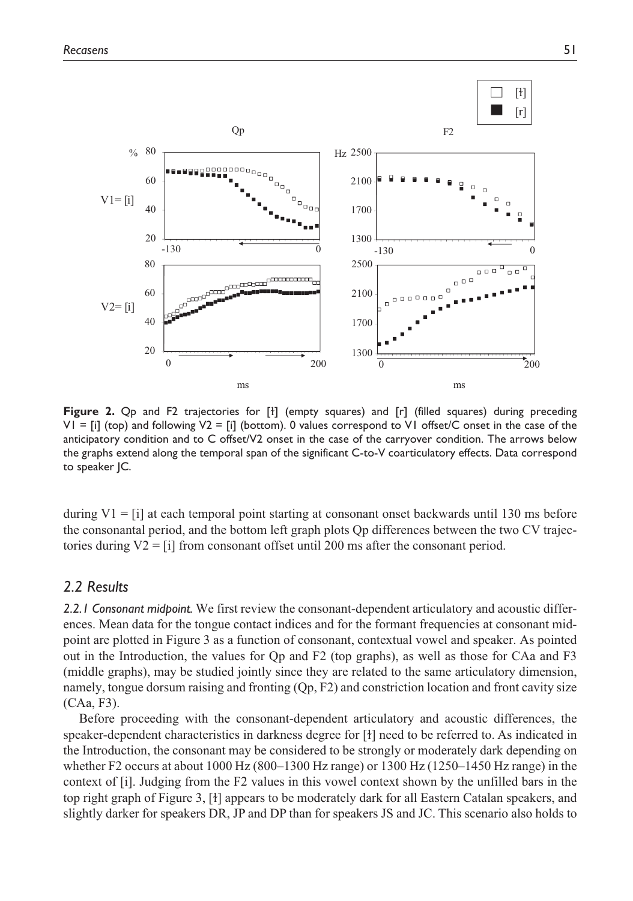

**Figure 2.** Qp and F2 trajectories for [t] (empty squares) and [r] (filled squares) during preceding  $V1 = [i]$  (top) and following  $V2 = [i]$  (bottom). 0 values correspond to VI offset/C onset in the case of the anticipatory condition and to C offset/V2 onset in the case of the carryover condition. The arrows below the graphs extend along the temporal span of the significant C-to-V coarticulatory effects. Data correspond to speaker JC.

during  $V1 = \begin{bmatrix} i \\ i \end{bmatrix}$  at each temporal point starting at consonant onset backwards until 130 ms before the consonantal period, and the bottom left graph plots Qp differences between the two CV trajectories during  $V2 = \begin{bmatrix} i \\ i \end{bmatrix}$  from consonant offset until 200 ms after the consonant period.

#### *2.2 Results*

*2.2.1 Consonant midpoint.* We first review the consonant-dependent articulatory and acoustic differences. Mean data for the tongue contact indices and for the formant frequencies at consonant midpoint are plotted in Figure 3 as a function of consonant, contextual vowel and speaker. As pointed out in the Introduction, the values for Qp and F2 (top graphs), as well as those for CAa and F3 (middle graphs), may be studied jointly since they are related to the same articulatory dimension, namely, tongue dorsum raising and fronting (Qp, F2) and constriction location and front cavity size (CAa, F3).

Before proceeding with the consonant-dependent articulatory and acoustic differences, the speaker-dependent characteristics in darkness degree for [ɫ] need to be referred to. As indicated in the Introduction, the consonant may be considered to be strongly or moderately dark depending on whether F2 occurs at about 1000 Hz (800–1300 Hz range) or 1300 Hz (1250–1450 Hz range) in the context of [i]. Judging from the F2 values in this vowel context shown by the unfilled bars in the top right graph of Figure 3, [ɫ] appears to be moderately dark for all Eastern Catalan speakers, and slightly darker for speakers DR, JP and DP than for speakers JS and JC. This scenario also holds to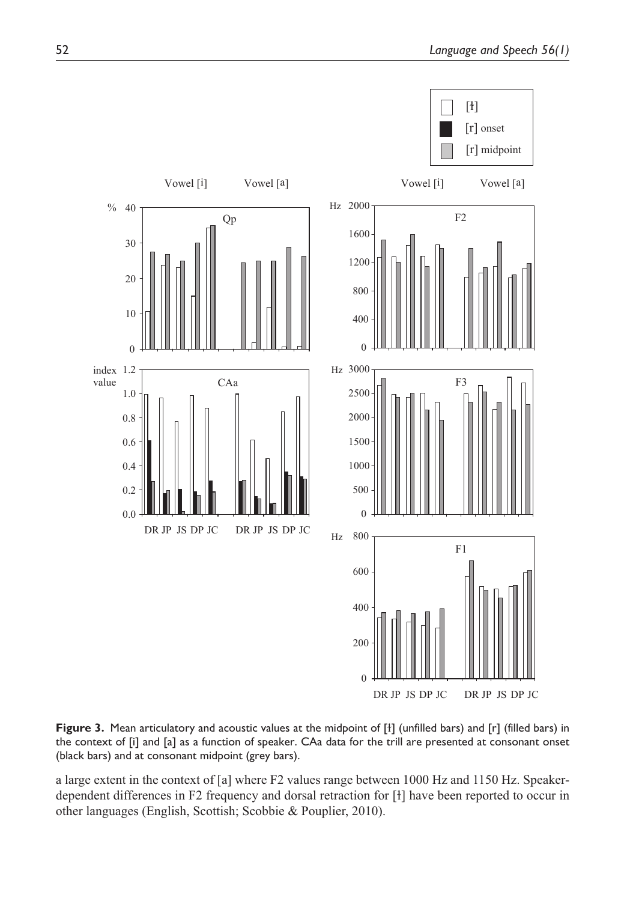

**Figure 3.** Mean articulatory and acoustic values at the midpoint of [ł] (unfilled bars) and [r] (filled bars) in the context of [i] and [a] as a function of speaker. CAa data for the trill are presented at consonant onset (black bars) and at consonant midpoint (grey bars).

a large extent in the context of [a] where F2 values range between 1000 Hz and 1150 Hz. Speakerdependent differences in F2 frequency and dorsal retraction for [ɫ] have been reported to occur in other languages (English, Scottish; Scobbie & Pouplier, 2010).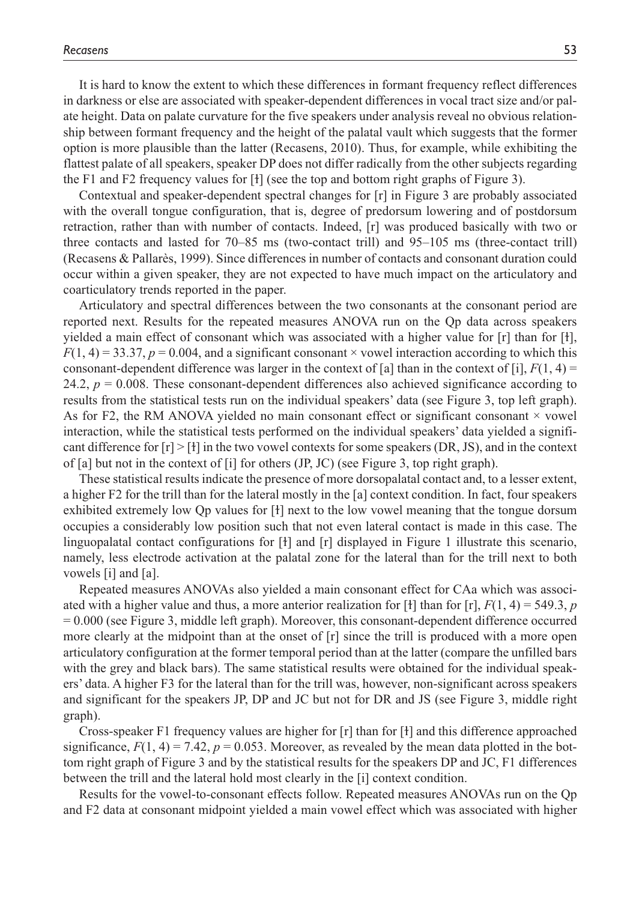It is hard to know the extent to which these differences in formant frequency reflect differences in darkness or else are associated with speaker-dependent differences in vocal tract size and/or palate height. Data on palate curvature for the five speakers under analysis reveal no obvious relationship between formant frequency and the height of the palatal vault which suggests that the former option is more plausible than the latter (Recasens, 2010). Thus, for example, while exhibiting the flattest palate of all speakers, speaker DP does not differ radically from the other subjects regarding the F1 and F2 frequency values for [ɫ] (see the top and bottom right graphs of Figure 3).

Contextual and speaker-dependent spectral changes for [r] in Figure 3 are probably associated with the overall tongue configuration, that is, degree of predorsum lowering and of postdorsum retraction, rather than with number of contacts. Indeed, [r] was produced basically with two or three contacts and lasted for 70–85 ms (two-contact trill) and 95–105 ms (three-contact trill) (Recasens & Pallarès, 1999). Since differences in number of contacts and consonant duration could occur within a given speaker, they are not expected to have much impact on the articulatory and coarticulatory trends reported in the paper.

Articulatory and spectral differences between the two consonants at the consonant period are reported next. Results for the repeated measures ANOVA run on the Qp data across speakers yielded a main effect of consonant which was associated with a higher value for [r] than for [ɫ],  $F(1, 4) = 33.37$ ,  $p = 0.004$ , and a significant consonant  $\times$  vowel interaction according to which this consonant-dependent difference was larger in the context of [a] than in the context of [i],  $F(1, 4)$  = 24.2,  $p = 0.008$ . These consonant-dependent differences also achieved significance according to results from the statistical tests run on the individual speakers' data (see Figure 3, top left graph). As for F2, the RM ANOVA yielded no main consonant effect or significant consonant  $\times$  vowel interaction, while the statistical tests performed on the individual speakers' data yielded a significant difference for  $[r] > [t]$  in the two vowel contexts for some speakers (DR, JS), and in the context of [a] but not in the context of [i] for others (JP, JC) (see Figure 3, top right graph).

These statistical results indicate the presence of more dorsopalatal contact and, to a lesser extent, a higher F2 for the trill than for the lateral mostly in the [a] context condition. In fact, four speakers exhibited extremely low Qp values for [ɫ] next to the low vowel meaning that the tongue dorsum occupies a considerably low position such that not even lateral contact is made in this case. The linguopalatal contact configurations for [ɫ] and [r] displayed in Figure 1 illustrate this scenario, namely, less electrode activation at the palatal zone for the lateral than for the trill next to both vowels [i] and [a].

Repeated measures ANOVAs also yielded a main consonant effect for CAa which was associated with a higher value and thus, a more anterior realization for [t] than for [r],  $F(1, 4) = 549.3$ , *p* = 0.000 (see Figure 3, middle left graph). Moreover, this consonant-dependent difference occurred more clearly at the midpoint than at the onset of [r] since the trill is produced with a more open articulatory configuration at the former temporal period than at the latter (compare the unfilled bars with the grey and black bars). The same statistical results were obtained for the individual speakers' data. A higher F3 for the lateral than for the trill was, however, non-significant across speakers and significant for the speakers JP, DP and JC but not for DR and JS (see Figure 3, middle right graph).

Cross-speaker F1 frequency values are higher for [r] than for [ɫ] and this difference approached significance,  $F(1, 4) = 7.42$ ,  $p = 0.053$ . Moreover, as revealed by the mean data plotted in the bottom right graph of Figure 3 and by the statistical results for the speakers DP and JC, F1 differences between the trill and the lateral hold most clearly in the [i] context condition.

Results for the vowel-to-consonant effects follow. Repeated measures ANOVAs run on the Qp and F2 data at consonant midpoint yielded a main vowel effect which was associated with higher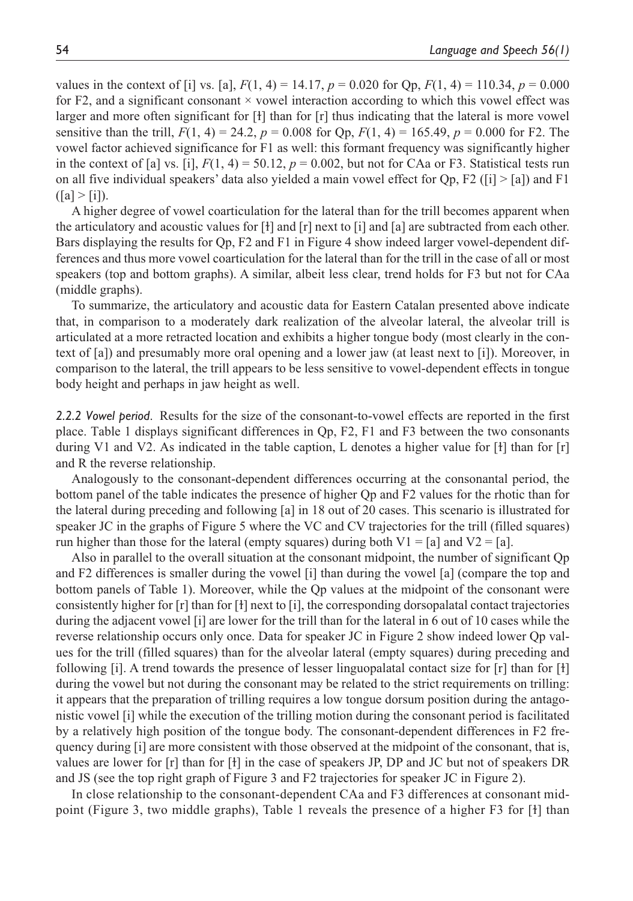values in the context of [i] vs. [a],  $F(1, 4) = 14.17$ ,  $p = 0.020$  for Qp,  $F(1, 4) = 110.34$ ,  $p = 0.000$ for F2, and a significant consonant  $\times$  vowel interaction according to which this vowel effect was larger and more often significant for [ɫ] than for [r] thus indicating that the lateral is more vowel sensitive than the trill,  $F(1, 4) = 24.2$ ,  $p = 0.008$  for Qp,  $F(1, 4) = 165.49$ ,  $p = 0.000$  for F2. The vowel factor achieved significance for F1 as well: this formant frequency was significantly higher in the context of [a] vs. [i],  $F(1, 4) = 50.12$ ,  $p = 0.002$ , but not for CAa or F3. Statistical tests run on all five individual speakers' data also yielded a main vowel effect for Qp,  $F2$  ([i] > [a]) and F1  $([a] > [i])$ .

A higher degree of vowel coarticulation for the lateral than for the trill becomes apparent when the articulatory and acoustic values for  $\lbrack f \rbrack$  and  $\lbrack r \rbrack$  and  $\lbrack a \rbrack$  and  $\lbrack a \rbrack$  are subtracted from each other. Bars displaying the results for Qp, F2 and F1 in Figure 4 show indeed larger vowel-dependent differences and thus more vowel coarticulation for the lateral than for the trill in the case of all or most speakers (top and bottom graphs). A similar, albeit less clear, trend holds for F3 but not for CAa (middle graphs).

To summarize, the articulatory and acoustic data for Eastern Catalan presented above indicate that, in comparison to a moderately dark realization of the alveolar lateral, the alveolar trill is articulated at a more retracted location and exhibits a higher tongue body (most clearly in the context of [a]) and presumably more oral opening and a lower jaw (at least next to [i]). Moreover, in comparison to the lateral, the trill appears to be less sensitive to vowel-dependent effects in tongue body height and perhaps in jaw height as well.

*2.2.2 Vowel period*. Results for the size of the consonant-to-vowel effects are reported in the first place. Table 1 displays significant differences in Qp, F2, F1 and F3 between the two consonants during V1 and V2. As indicated in the table caption, L denotes a higher value for [ɫ] than for [r] and R the reverse relationship.

Analogously to the consonant-dependent differences occurring at the consonantal period, the bottom panel of the table indicates the presence of higher Qp and F2 values for the rhotic than for the lateral during preceding and following [a] in 18 out of 20 cases. This scenario is illustrated for speaker JC in the graphs of Figure 5 where the VC and CV trajectories for the trill (filled squares) run higher than those for the lateral (empty squares) during both  $V1 = [a]$  and  $V2 = [a]$ .

Also in parallel to the overall situation at the consonant midpoint, the number of significant Qp and F2 differences is smaller during the vowel [i] than during the vowel [a] (compare the top and bottom panels of Table 1). Moreover, while the Qp values at the midpoint of the consonant were consistently higher for [r] than for [ɫ] next to [i], the corresponding dorsopalatal contact trajectories during the adjacent vowel [i] are lower for the trill than for the lateral in 6 out of 10 cases while the reverse relationship occurs only once. Data for speaker JC in Figure 2 show indeed lower Qp values for the trill (filled squares) than for the alveolar lateral (empty squares) during preceding and following [i]. A trend towards the presence of lesser linguopalatal contact size for [r] than for [ɫ] during the vowel but not during the consonant may be related to the strict requirements on trilling: it appears that the preparation of trilling requires a low tongue dorsum position during the antagonistic vowel [i] while the execution of the trilling motion during the consonant period is facilitated by a relatively high position of the tongue body. The consonant-dependent differences in F2 frequency during [i] are more consistent with those observed at the midpoint of the consonant, that is, values are lower for [r] than for [ɫ] in the case of speakers JP, DP and JC but not of speakers DR and JS (see the top right graph of Figure 3 and F2 trajectories for speaker JC in Figure 2).

In close relationship to the consonant-dependent CAa and F3 differences at consonant midpoint (Figure 3, two middle graphs), Table 1 reveals the presence of a higher F3 for [ɫ] than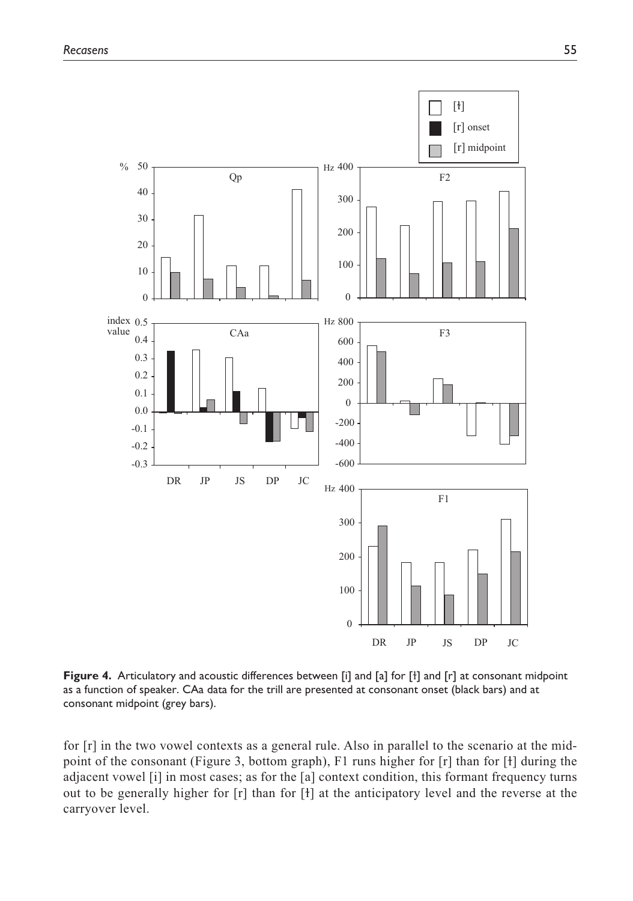

**Figure 4.** Articulatory and acoustic differences between [i] and [a] for [ɫ] and [r] at consonant midpoint as a function of speaker. CAa data for the trill are presented at consonant onset (black bars) and at consonant midpoint (grey bars).

for [r] in the two vowel contexts as a general rule. Also in parallel to the scenario at the midpoint of the consonant (Figure 3, bottom graph), F1 runs higher for [r] than for [ɫ] during the adjacent vowel [i] in most cases; as for the [a] context condition, this formant frequency turns out to be generally higher for [r] than for [ɫ] at the anticipatory level and the reverse at the carryover level.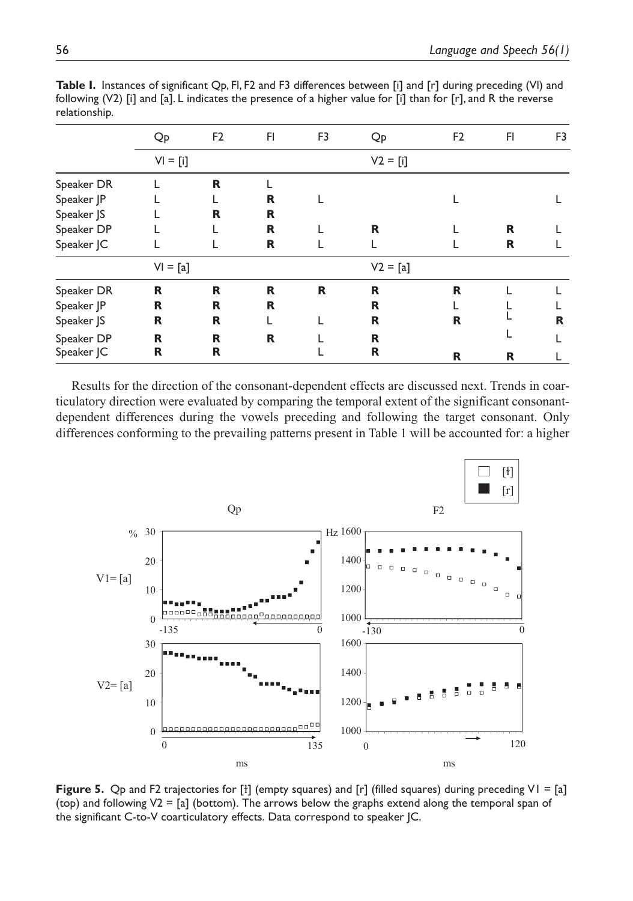|            | Qp         | F <sub>2</sub> | FI.         | F <sub>3</sub> | $Q_{P}$     | F <sub>2</sub> | FI | F <sub>3</sub> |
|------------|------------|----------------|-------------|----------------|-------------|----------------|----|----------------|
|            | $VI = [i]$ |                |             |                | $V2 = [i]$  |                |    |                |
| Speaker DR |            | $\mathbf R$    |             |                |             |                |    |                |
| Speaker JP |            |                | R           | L              |             |                |    |                |
| Speaker JS |            | R              | R           |                |             |                |    |                |
| Speaker DP |            |                | R           |                | $\mathbf R$ |                | R  |                |
| Speaker JC |            |                | R           |                |             |                | R  |                |
|            | $VI = [a]$ |                |             |                | $V2 = [a]$  |                |    |                |
| Speaker DR | R          | $\mathbf R$    | $\mathbf R$ | R              | $\mathbf R$ | $\mathbf R$    |    |                |
| Speaker JP | R          | $\mathbf R$    | $\mathbf R$ |                | $\mathbf R$ |                |    |                |
| Speaker JS | R          | $\mathbf R$    |             |                | $\mathbf R$ | $\mathbf R$    |    | R              |
| Speaker DP | R          | R              | $\mathbf R$ |                | $\mathbf R$ |                |    |                |
| Speaker JC | R          | R              |             |                | $\mathbf R$ | R              | R  |                |

**Table I.** Instances of significant Qp, Fl, F2 and F3 differences between [i] and [r] during preceding (Vl) and following (V2) [i] and [a]. L indicates the presence of a higher value for [i] than for [r], and R the reverse relationship.

Results for the direction of the consonant-dependent effects are discussed next. Trends in coarticulatory direction were evaluated by comparing the temporal extent of the significant consonantdependent differences during the vowels preceding and following the target consonant. Only differences conforming to the prevailing patterns present in Table 1 will be accounted for: a higher



**Figure 5.** Qp and F2 trajectories for [ł] (empty squares) and [r] (filled squares) during preceding VI = [a] (top) and following  $V2 = \lceil a \rceil$  (bottom). The arrows below the graphs extend along the temporal span of the significant C-to-V coarticulatory effects. Data correspond to speaker JC.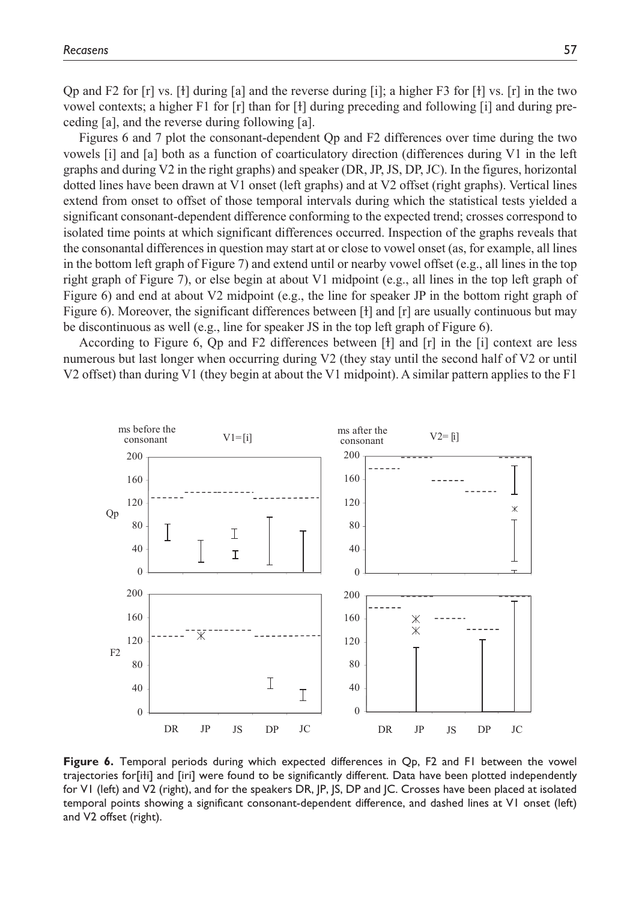Qp and F2 for  $[r]$  vs.  $[t]$  during  $[a]$  and the reverse during  $[i]$ ; a higher F3 for  $[t]$  vs.  $[r]$  in the two vowel contexts; a higher F1 for [r] than for [ɫ] during preceding and following [i] and during preceding [a], and the reverse during following [a].

Figures 6 and 7 plot the consonant-dependent Qp and F2 differences over time during the two vowels [i] and [a] both as a function of coarticulatory direction (differences during V1 in the left graphs and during V2 in the right graphs) and speaker (DR, JP, JS, DP, JC). In the figures, horizontal dotted lines have been drawn at V1 onset (left graphs) and at V2 offset (right graphs). Vertical lines extend from onset to offset of those temporal intervals during which the statistical tests yielded a significant consonant-dependent difference conforming to the expected trend; crosses correspond to isolated time points at which significant differences occurred. Inspection of the graphs reveals that the consonantal differences in question may start at or close to vowel onset (as, for example, all lines in the bottom left graph of Figure 7) and extend until or nearby vowel offset (e.g., all lines in the top right graph of Figure 7), or else begin at about V1 midpoint (e.g., all lines in the top left graph of Figure 6) and end at about V2 midpoint (e.g., the line for speaker JP in the bottom right graph of Figure 6). Moreover, the significant differences between [t] and [r] are usually continuous but may be discontinuous as well (e.g., line for speaker JS in the top left graph of Figure 6).

According to Figure 6, Qp and F2 differences between [ɫ] and [r] in the [i] context are less numerous but last longer when occurring during V2 (they stay until the second half of V2 or until V2 offset) than during V1 (they begin at about the V1 midpoint). A similar pattern applies to the F1



**Figure 6.** Temporal periods during which expected differences in Qp, F2 and F1 between the vowel trajectories for[iɫi] and [iri] were found to be significantly different. Data have been plotted independently for V1 (left) and V2 (right), and for the speakers DR, JP, JS, DP and JC. Crosses have been placed at isolated temporal points showing a significant consonant-dependent difference, and dashed lines at V1 onset (left) and V2 offset (right).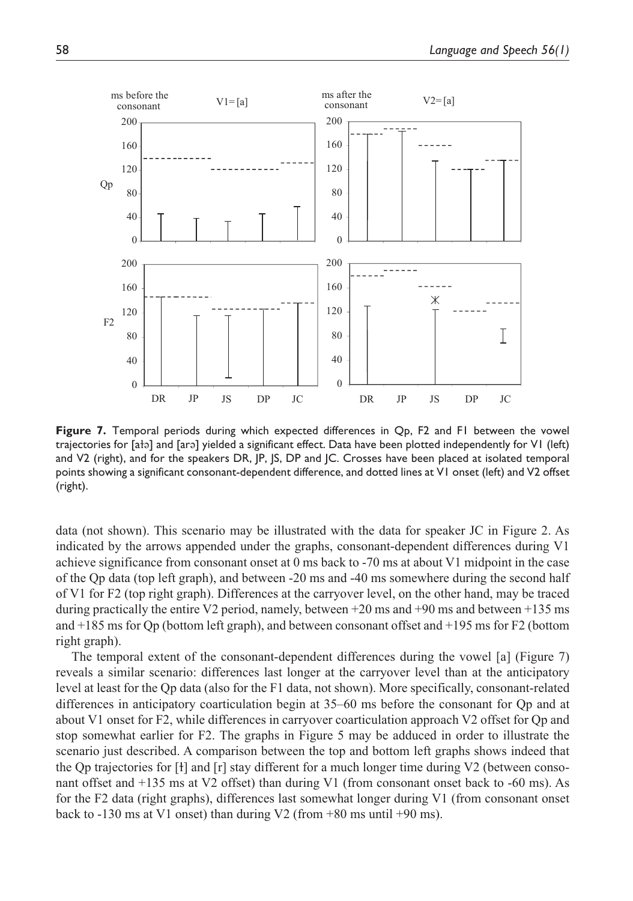

**Figure 7.** Temporal periods during which expected differences in Qp, F2 and F1 between the vowel trajectories for [aɫə] and [arə] yielded a significant effect. Data have been plotted independently for V1 (left) and V2 (right), and for the speakers DR, JP, JS, DP and JC. Crosses have been placed at isolated temporal points showing a significant consonant-dependent difference, and dotted lines at V1 onset (left) and V2 offset (right).

data (not shown). This scenario may be illustrated with the data for speaker JC in Figure 2. As indicated by the arrows appended under the graphs, consonant-dependent differences during V1 achieve significance from consonant onset at 0 ms back to -70 ms at about V1 midpoint in the case of the Qp data (top left graph), and between -20 ms and -40 ms somewhere during the second half of V1 for F2 (top right graph). Differences at the carryover level, on the other hand, may be traced during practically the entire V2 period, namely, between +20 ms and +90 ms and between +135 ms and +185 ms for Qp (bottom left graph), and between consonant offset and +195 ms for F2 (bottom right graph).

The temporal extent of the consonant-dependent differences during the vowel [a] (Figure 7) reveals a similar scenario: differences last longer at the carryover level than at the anticipatory level at least for the Qp data (also for the F1 data, not shown). More specifically, consonant-related differences in anticipatory coarticulation begin at 35–60 ms before the consonant for Qp and at about V1 onset for F2, while differences in carryover coarticulation approach V2 offset for Qp and stop somewhat earlier for F2. The graphs in Figure 5 may be adduced in order to illustrate the scenario just described. A comparison between the top and bottom left graphs shows indeed that the Qp trajectories for [ɫ] and [r] stay different for a much longer time during V2 (between consonant offset and +135 ms at V2 offset) than during V1 (from consonant onset back to -60 ms). As for the F2 data (right graphs), differences last somewhat longer during V1 (from consonant onset back to  $-130$  ms at V1 onset) than during V2 (from  $+80$  ms until  $+90$  ms).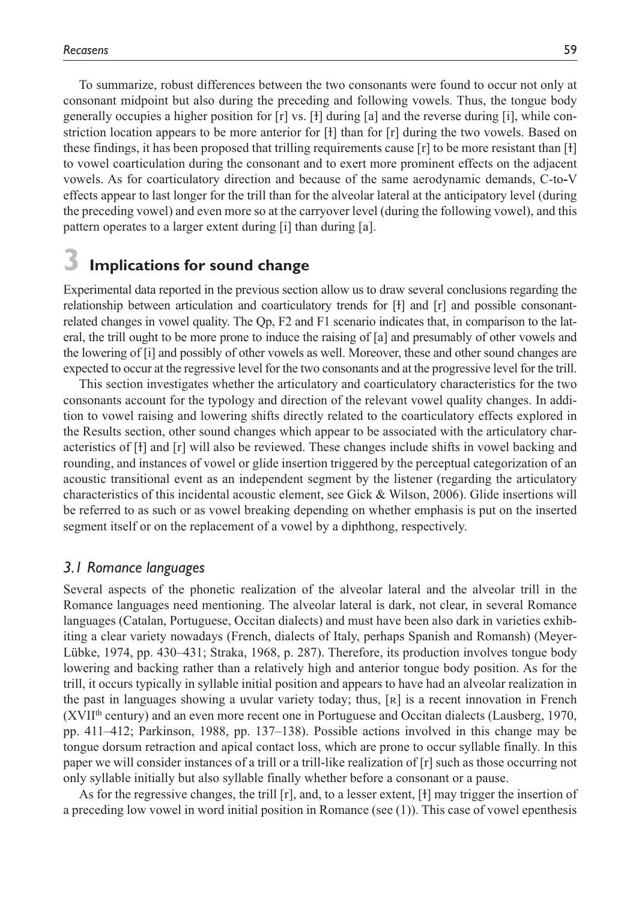To summarize, robust differences between the two consonants were found to occur not only at consonant midpoint but also during the preceding and following vowels. Thus, the tongue body generally occupies a higher position for [r] vs. [ɫ] during [a] and the reverse during [i], while constriction location appears to be more anterior for [t] than for [r] during the two vowels. Based on these findings, it has been proposed that trilling requirements cause [r] to be more resistant than [ɫ] to vowel coarticulation during the consonant and to exert more prominent effects on the adjacent vowels. As for coarticulatory direction and because of the same aerodynamic demands, C-to**-**V effects appear to last longer for the trill than for the alveolar lateral at the anticipatory level (during the preceding vowel) and even more so at the carryover level (during the following vowel), and this pattern operates to a larger extent during [i] than during [a].

## **3 Implications for sound change**

Experimental data reported in the previous section allow us to draw several conclusions regarding the relationship between articulation and coarticulatory trends for [ɫ] and [r] and possible consonantrelated changes in vowel quality. The Qp, F2 and F1 scenario indicates that, in comparison to the lateral, the trill ought to be more prone to induce the raising of [a] and presumably of other vowels and the lowering of [i] and possibly of other vowels as well. Moreover, these and other sound changes are expected to occur at the regressive level for the two consonants and at the progressive level for the trill.

This section investigates whether the articulatory and coarticulatory characteristics for the two consonants account for the typology and direction of the relevant vowel quality changes. In addition to vowel raising and lowering shifts directly related to the coarticulatory effects explored in the Results section, other sound changes which appear to be associated with the articulatory characteristics of [ɫ] and [r] will also be reviewed. These changes include shifts in vowel backing and rounding, and instances of vowel or glide insertion triggered by the perceptual categorization of an acoustic transitional event as an independent segment by the listener (regarding the articulatory characteristics of this incidental acoustic element, see Gick & Wilson, 2006). Glide insertions will be referred to as such or as vowel breaking depending on whether emphasis is put on the inserted segment itself or on the replacement of a vowel by a diphthong, respectively.

#### *3.1 Romance languages*

Several aspects of the phonetic realization of the alveolar lateral and the alveolar trill in the Romance languages need mentioning. The alveolar lateral is dark, not clear, in several Romance languages (Catalan, Portuguese, Occitan dialects) and must have been also dark in varieties exhibiting a clear variety nowadays (French, dialects of Italy, perhaps Spanish and Romansh) (Meyer-Lübke, 1974, pp. 430–431; Straka, 1968, p. 287). Therefore, its production involves tongue body lowering and backing rather than a relatively high and anterior tongue body position. As for the trill, it occurs typically in syllable initial position and appears to have had an alveolar realization in the past in languages showing a uvular variety today; thus, [ʀ] is a recent innovation in French  $(XVII<sup>th</sup> century)$  and an even more recent one in Portuguese and Occitan dialects (Lausberg, 1970, pp. 411–412; Parkinson, 1988, pp. 137–138). Possible actions involved in this change may be tongue dorsum retraction and apical contact loss, which are prone to occur syllable finally. In this paper we will consider instances of a trill or a trill-like realization of [r] such as those occurring not only syllable initially but also syllable finally whether before a consonant or a pause.

As for the regressive changes, the trill [r], and, to a lesser extent, [ɫ] may trigger the insertion of a preceding low vowel in word initial position in Romance (see (1)). This case of vowel epenthesis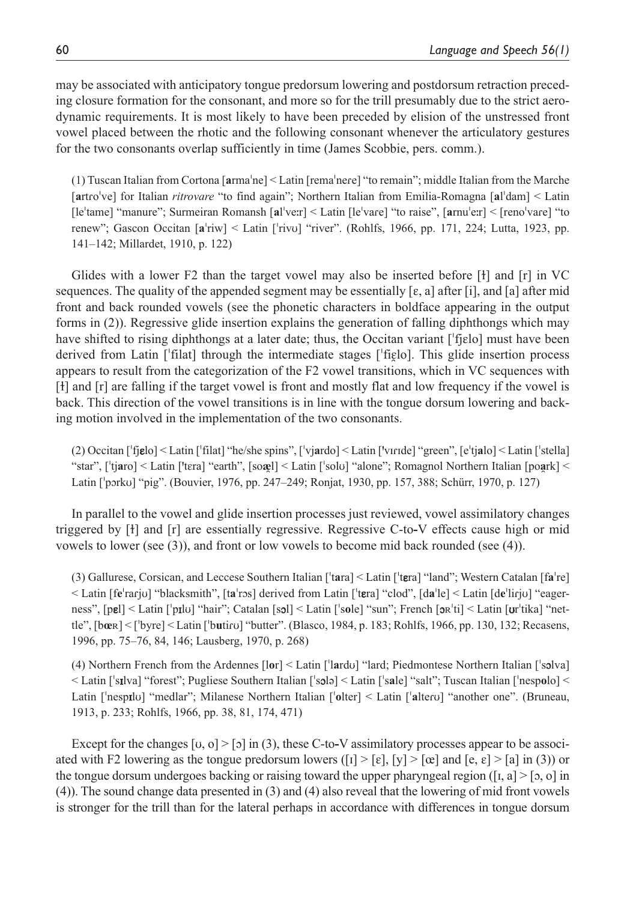may be associated with anticipatory tongue predorsum lowering and postdorsum retraction preceding closure formation for the consonant, and more so for the trill presumably due to the strict aerodynamic requirements. It is most likely to have been preceded by elision of the unstressed front vowel placed between the rhotic and the following consonant whenever the articulatory gestures for the two consonants overlap sufficiently in time (James Scobbie, pers. comm.).

(1) Tuscan Italian from Cortona [**a**rmaˈne] < Latin [remaˈneɾe] "to remain"; middle Italian from the Marche [**a**rtɾoˈve] for Italian *ritrovare* "to find again"; Northern Italian from Emilia-Romagna [**a**lˈdam] < Latin [leˈtame] "manure"; Surmeiran Romansh [**a**lˈveːr] < Latin [leˈvaɾe] "to raise", [**a**rnuˈeːr] < [renoˈvaɾe] "to renew"; Gascon Occitan [**a**ˈriw] < Latin [ˈrivʊ] "river". (Rohlfs, 1966, pp. 171, 224; Lutta, 1923, pp. 141–142; Millardet, 1910, p. 122)

Glides with a lower F2 than the target vowel may also be inserted before [ɫ] and [r] in VC sequences. The quality of the appended segment may be essentially [ $\varepsilon$ , a] after [i], and [a] after mid front and back rounded vowels (see the phonetic characters in boldface appearing in the output forms in (2)). Regressive glide insertion explains the generation of falling diphthongs which may have shifted to rising diphthongs at a later date; thus, the Occitan variant ['fielo] must have been derived from Latin [ˈfilat] through the intermediate stages [ˈfiɛ̯lo]. This glide insertion process appears to result from the categorization of the F2 vowel transitions, which in VC sequences with [ɫ] and [r] are falling if the target vowel is front and mostly flat and low frequency if the vowel is back. This direction of the vowel transitions is in line with the tongue dorsum lowering and backing motion involved in the implementation of the two consonants.

(2) Occitan [ˈfjɛlo] < Latin [ˈfilat] "he/she spins", [ˈvj**a**rdo] < Latin [vɪɾɪde] "green", [eˈtj**a**lo] < Latin [ˈstella] "star", ['t**ja**ro] < Latin ['tɛra] "earth", [soæl] < Latin ['solu] "alone"; Romagnol Northern Italian [poark] < Latin [ˈpɔrkʊ] "pig". (Bouvier, 1976, pp. 247–249; Ronjat, 1930, pp. 157, 388; Schürr, 1970, p. 127)

In parallel to the vowel and glide insertion processes just reviewed, vowel assimilatory changes triggered by [ɫ] and [r] are essentially regressive. Regressive C-to**-**V effects cause high or mid vowels to lower (see (3)), and front or low vowels to become mid back rounded (see (4)).

(3) Gallurese, Corsican, and Leccese Southern Italian [ˈt**a**ra] < Latin [ˈtɛra] "land"; Western Catalan [f**a**ˈre] < Latin [f**e**ˈrajʊ] "blacksmith", [t**a**ˈrɔs] derived from Latin [ˈtɛra] "clod", [d**a**ˈle] < Latin [d**e**ˈliɾjʊ] "eagerness", [pɛl] < Latin [ˈpɪlʊ] "hair"; Catalan [sɔl] < Latin [ˈs**o**le] "sun"; French [ɔʀˈti] < Latin [ʊrˈtika] "nettle", [b**œ**ʀ] < [ˈbyre] < Latin [ˈb**u**tiɾʊ] "butter". (Blasco, 1984, p. 183; Rohlfs, 1966, pp. 130, 132; Recasens, 1996, pp. 75–76, 84, 146; Lausberg, 1970, p. 268)

(4) Northern French from the Ardennes [l**o**r] < Latin [ˈl**a**rdʊ] "lard; Piedmontese Northern Italian [ˈsɔlva] < Latin [ˈsɪlva] "forest"; Pugliese Southern Italian [ˈsɔlə] < Latin [ˈs**a**le] "salt"; Tuscan Italian [ˈnesp**o**lo] < Latin [ˈnespɪlʊ] "medlar"; Milanese Northern Italian [ˈ**o**lter] < Latin [ˈ**a**lteɾʊ] "another one". (Bruneau, 1913, p. 233; Rohlfs, 1966, pp. 38, 81, 174, 471)

Except for the changes  $[v, o] > [o]$  in (3), these C-to-V assimilatory processes appear to be associated with F2 lowering as the tongue predorsum lowers  $([1] > [\varepsilon], [y] > [\alpha]$  and  $[\varepsilon, \varepsilon] > [a]$  in (3)) or the tongue dorsum undergoes backing or raising toward the upper pharyngeal region ([1, a] > [5, o] in (4)). The sound change data presented in (3) and (4) also reveal that the lowering of mid front vowels is stronger for the trill than for the lateral perhaps in accordance with differences in tongue dorsum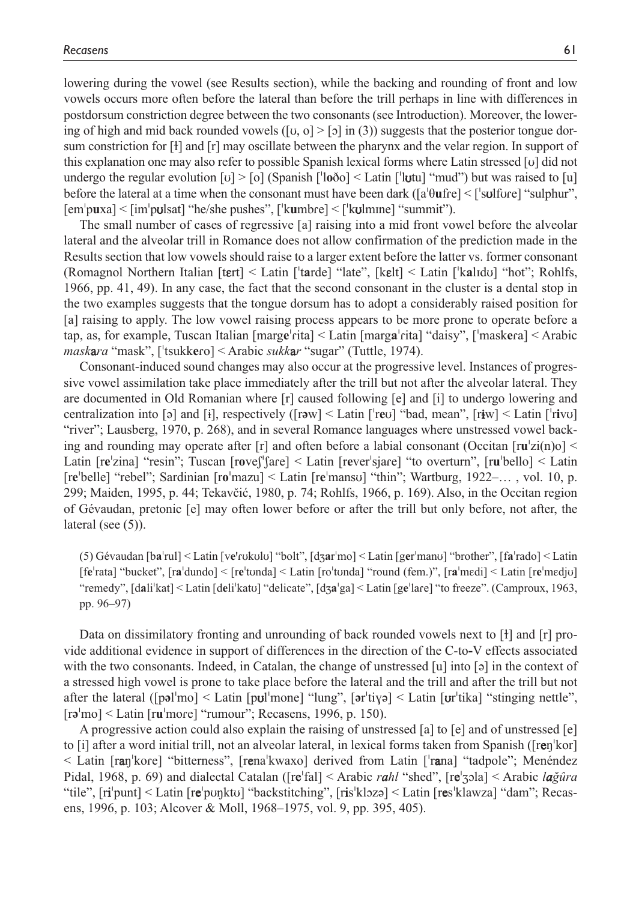lowering during the vowel (see Results section), while the backing and rounding of front and low vowels occurs more often before the lateral than before the trill perhaps in line with differences in postdorsum constriction degree between the two consonants (see Introduction). Moreover, the lowering of high and mid back rounded vowels ([v, o] > [ɔ] in (3)) suggests that the posterior tongue dorsum constriction for [ɫ] and [r] may oscillate between the pharynx and the velar region. In support of this explanation one may also refer to possible Spanish lexical forms where Latin stressed [ʊ] did not undergo the regular evolution [ʊ] > [o] (Spanish [ˈl**o**ðo] < Latin [ˈlʊtu] "mud") but was raised to [u] before the lateral at a time when the consonant must have been dark ([aˈθ**u**fɾe] < [ˈsʊlfʊɾe] "sulphur", [emˈp**u**xa] < [imˈpʊlsat] "he/she pushes", [ˈk**u**mbɾe] < [ˈkʊlmɪne] "summit").

The small number of cases of regressive [a] raising into a mid front vowel before the alveolar lateral and the alveolar trill in Romance does not allow confirmation of the prediction made in the Results section that low vowels should raise to a larger extent before the latter vs. former consonant (Romagnol Northern Italian [tɛrt] < Latin [ˈt**a**rde] "late", [kɛlt] < Latin [ˈk**a**lɪdʊ] "hot"; Rohlfs, 1966, pp. 41, 49). In any case, the fact that the second consonant in the cluster is a dental stop in the two examples suggests that the tongue dorsum has to adopt a considerably raised position for [a] raising to apply. The low vowel raising process appears to be more prone to operate before a tap, as, for example, Tuscan Italian [marg**e**ˈɾita] < Latin [marg**a**ˈɾita] "daisy", [ˈmask**e**ɾa] < Arabic *mask*a*ra* "mask", [ˈtsukk**e**ɾo] < Arabic *sukk*a*r* "sugar" (Tuttle, 1974).

Consonant-induced sound changes may also occur at the progressive level. Instances of progressive vowel assimilation take place immediately after the trill but not after the alveolar lateral. They are documented in Old Romanian where [r] caused following [e] and [i] to undergo lowering and centralization into [ə] and [ɨ], respectively ([r**ə**w] < Latin [ˈr**e**ʊ] "bad, mean", [rɨw] < Latin [ˈr**i**vʊ] "river"; Lausberg, 1970, p. 268), and in several Romance languages where unstressed vowel backing and rounding may operate after  $[r]$  and often before a labial consonant (Occitan  $[r\mathbf{u}'z(i\mathbf{n})\mathbf{o}]$ ) < Latin [r**e**ˈzina] "resin"; Tuscan [r**o**veʃˈʃaɾe] < Latin [r**e**verˈsjaɾe] "to overturn", [r**u**ˈbello] < Latin [r**e**ˈbelle] "rebel"; Sardinian [r**o**ˈmazu] < Latin [r**e**ˈmansʊ] "thin"; Wartburg, 1922–… , vol. 10, p. 299; Maiden, 1995, p. 44; Tekavčić, 1980, p. 74; Rohlfs, 1966, p. 169). Also, in the Occitan region of Gévaudan, pretonic [e] may often lower before or after the trill but only before, not after, the lateral (see (5)).

(5) Gévaudan [b**a**ˈrul] < Latin [v**e**ɾʊkʊlʊ] "bolt", [dʒ**a**rˈmo] < Latin [g**e**rˈmanʊ] "brother", [f**a**ˈrado] < Latin [f**e**ˈrata] "bucket", [r**a**ˈdundo] < [r**e**ˈtʊnda] < Latin [roˈtʊnda] "round (fem.)", [r**a**ˈmɛdi] < Latin [r**e**ˈmɛdjʊ] "remedy", [d**a**liˈkat] < Latin [d**e**liˈkatʊ] "delicate", [dʒ**a**ˈga] < Latin [g**e**ˈlaɾe] "to freeze". (Camproux, 1963, pp. 96–97)

Data on dissimilatory fronting and unrounding of back rounded vowels next to [ɫ] and [r] provide additional evidence in support of differences in the direction of the C-to**-**V effects associated with the two consonants. Indeed, in Catalan, the change of unstressed [u] into [ə] in the context of a stressed high vowel is prone to take place before the lateral and the trill and after the trill but not after the lateral ([p**ə**lˈmo] < Latin [pʊlˈmone] "lung", [**ə**rˈtiɣə] < Latin [ʊrˈtika] "stinging nettle", [r**ə**ˈmo] < Latin [r**u**ˈmoɾe] "rumour"; Recasens, 1996, p. 150).

A progressive action could also explain the raising of unstressed [a] to [e] and of unstressed [e] to [i] after a word initial trill, not an alveolar lateral, in lexical forms taken from Spanish ([reŋˈkor] < Latin [raŋˈkoɾe] "bitterness", [renaˈkwaxo] derived from Latin [ˈrana] "tadpole"; Menéndez Pidal, 1968, p. 69) and dialectal Catalan ([reˈfal] < Arabic *rahl* "shed", [reˈʒɔla] < Arabic *lağûra* "tile", [riˈpunt] < Latin [reˈpʊŋktʊ] "backstitching", [risˈklɔzə] < Latin [resˈklawza] "dam"; Recasens, 1996, p. 103; Alcover & Moll, 1968–1975, vol. 9, pp. 395, 405).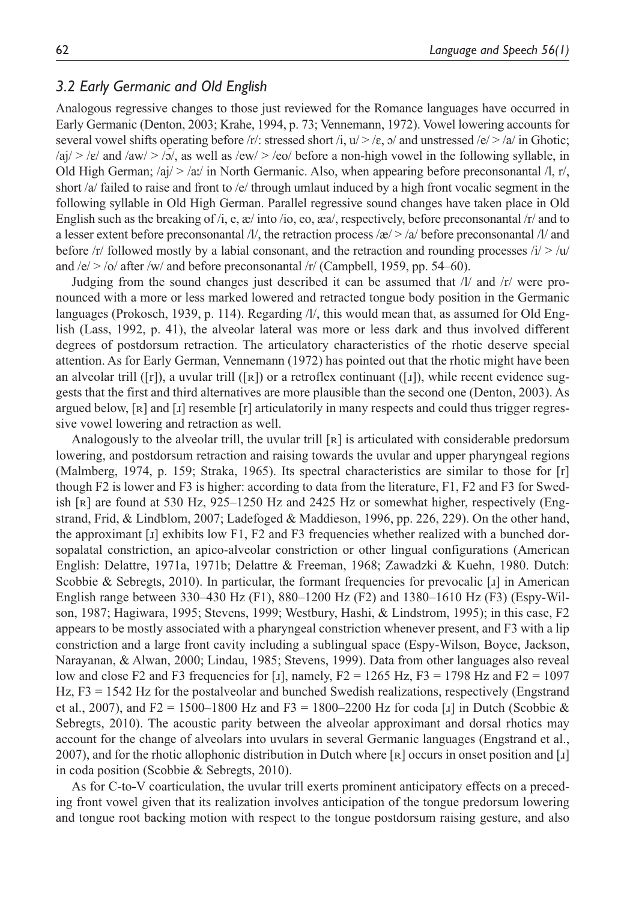#### *3.2 Early Germanic and Old English*

Analogous regressive changes to those just reviewed for the Romance languages have occurred in Early Germanic (Denton, 2003; Krahe, 1994, p. 73; Vennemann, 1972). Vowel lowering accounts for several vowel shifts operating before /r/: stressed short /i,  $u$ />/ $\varepsilon$ ,  $\sigma$ / and unstressed /e/>/a/ in Ghotic;  $\langle \text{a} \text{i} \rangle > \langle \text{e} \rangle$  and  $\langle \text{aw} \rangle > \langle \text{b} \rangle$ , as well as  $\langle \text{ew} \rangle > \langle \text{eo} \rangle$  before a non-high vowel in the following syllable, in Old High German;  $\langle \text{a} \text{i} \rangle > \langle \text{a} \text{a} \rangle$  in North Germanic. Also, when appearing before preconsonantal  $\langle \text{I}, \text{r} \rangle$ , short /a/ failed to raise and front to /e/ through umlaut induced by a high front vocalic segment in the following syllable in Old High German. Parallel regressive sound changes have taken place in Old English such as the breaking of /i, e,  $\alpha$ / into /io, eo,  $\alpha$ a/, respectively, before preconsonantal /r/ and to a lesser extent before preconsonantal /l/, the retraction process  $\alpha$ / $\alpha$ / $\alpha$ / before preconsonantal /l/ and before /r/ followed mostly by a labial consonant, and the retraction and rounding processes /i/  $>$ /u/ and  $/e$   $>$  /o/ after /w/ and before preconsonantal /r/ (Campbell, 1959, pp. 54–60).

Judging from the sound changes just described it can be assumed that /l/ and /r/ were pronounced with a more or less marked lowered and retracted tongue body position in the Germanic languages (Prokosch, 1939, p. 114). Regarding /l/, this would mean that, as assumed for Old English (Lass, 1992, p. 41), the alveolar lateral was more or less dark and thus involved different degrees of postdorsum retraction. The articulatory characteristics of the rhotic deserve special attention. As for Early German, Vennemann (1972) has pointed out that the rhotic might have been an alveolar trill ( $[r]$ ), a uvular trill ( $[r]$ ) or a retroflex continuant ( $[r]$ ), while recent evidence suggests that the first and third alternatives are more plausible than the second one (Denton, 2003). As argued below,  $\lceil \mathbf{r} \rceil$  and  $\lceil \mathbf{r} \rceil$  resemble  $\lceil \mathbf{r} \rceil$  articulatorily in many respects and could thus trigger regressive vowel lowering and retraction as well.

Analogously to the alveolar trill, the uvular trill  $\lceil \mathbf{R} \rceil$  is articulated with considerable predorsum lowering, and postdorsum retraction and raising towards the uvular and upper pharyngeal regions (Malmberg, 1974, p. 159; Straka, 1965). Its spectral characteristics are similar to those for [r] though F2 is lower and F3 is higher: according to data from the literature, F1, F2 and F3 for Swedish [ʀ] are found at 530 Hz, 925–1250 Hz and 2425 Hz or somewhat higher, respectively (Engstrand, Frid, & Lindblom, 2007; Ladefoged & Maddieson, 1996, pp. 226, 229). On the other hand, the approximant [ɹ] exhibits low F1, F2 and F3 frequencies whether realized with a bunched dorsopalatal constriction, an apico-alveolar constriction or other lingual configurations (American English: Delattre, 1971a, 1971b; Delattre & Freeman, 1968; Zawadzki & Kuehn, 1980. Dutch: Scobbie & Sebregts, 2010). In particular, the formant frequencies for prevocalic  $\lceil a \rceil$  in American English range between 330–430 Hz (F1), 880–1200 Hz (F2) and 1380–1610 Hz (F3) (Espy-Wilson, 1987; Hagiwara, 1995; Stevens, 1999; Westbury, Hashi, & Lindstrom, 1995); in this case, F2 appears to be mostly associated with a pharyngeal constriction whenever present, and F3 with a lip constriction and a large front cavity including a sublingual space (Espy-Wilson, Boyce, Jackson, Narayanan, & Alwan, 2000; Lindau, 1985; Stevens, 1999). Data from other languages also reveal low and close F2 and F3 frequencies for [ $x$ ], namely, F2 = 1265 Hz, F3 = 1798 Hz and F2 = 1097 Hz, F3 = 1542 Hz for the postalveolar and bunched Swedish realizations, respectively (Engstrand et al., 2007), and F2 = 1500–1800 Hz and F3 = 1800–2200 Hz for coda [1] in Dutch (Scobbie & Sebregts, 2010). The acoustic parity between the alveolar approximant and dorsal rhotics may account for the change of alveolars into uvulars in several Germanic languages (Engstrand et al., 2007), and for the rhotic allophonic distribution in Dutch where [ʀ] occurs in onset position and [ɹ] in coda position (Scobbie & Sebregts, 2010).

As for C-to**-**V coarticulation, the uvular trill exerts prominent anticipatory effects on a preceding front vowel given that its realization involves anticipation of the tongue predorsum lowering and tongue root backing motion with respect to the tongue postdorsum raising gesture, and also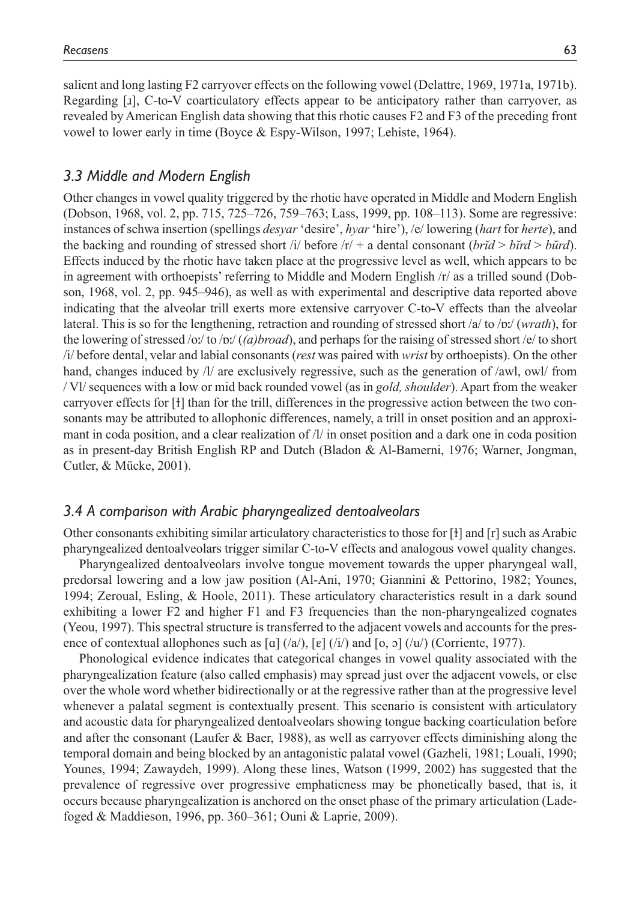salient and long lasting F2 carryover effects on the following vowel (Delattre, 1969, 1971a, 1971b). Regarding [ɹ], C-to**-**V coarticulatory effects appear to be anticipatory rather than carryover, as revealed by American English data showing that this rhotic causes F2 and F3 of the preceding front vowel to lower early in time (Boyce & Espy-Wilson, 1997; Lehiste, 1964).

#### *3.3 Middle and Modern English*

Other changes in vowel quality triggered by the rhotic have operated in Middle and Modern English (Dobson, 1968, vol. 2, pp. 715, 725–726, 759–763; Lass, 1999, pp. 108–113). Some are regressive: instances of schwa insertion (spellings *desyar* 'desire', *hyar* 'hire'), /e/ lowering (*hart* for *herte*), and the backing and rounding of stressed short /i/ before  $\langle r \rangle + a$  dental consonant (*brĭd* > *bĭrd* > *bŭrd*). Effects induced by the rhotic have taken place at the progressive level as well, which appears to be in agreement with orthoepists' referring to Middle and Modern English /r/ as a trilled sound (Dobson, 1968, vol. 2, pp. 945–946), as well as with experimental and descriptive data reported above indicating that the alveolar trill exerts more extensive carryover C-to**-**V effects than the alveolar lateral. This is so for the lengthening, retraction and rounding of stressed short /a/ to /ɒː/ (*wrath*), for the lowering of stressed /oː/ to /ɒː/ (*(a)broad*), and perhaps for the raising of stressed short /e/ to short /i/ before dental, velar and labial consonants (*rest* was paired with *wrist* by orthoepists). On the other hand, changes induced by /l/ are exclusively regressive, such as the generation of /awl, owl/ from / Vl/ sequences with a low or mid back rounded vowel (as in *gold, shoulder*). Apart from the weaker carryover effects for [ɫ] than for the trill, differences in the progressive action between the two consonants may be attributed to allophonic differences, namely, a trill in onset position and an approximant in coda position, and a clear realization of  $\frac{1}{l}$  in onset position and a dark one in coda position as in present-day British English RP and Dutch (Bladon & Al-Bamerni, 1976; Warner, Jongman, Cutler, & Mücke, 2001).

#### *3.4 A comparison with Arabic pharyngealized dentoalveolars*

Other consonants exhibiting similar articulatory characteristics to those for [ɫ] and [r] such as Arabic pharyngealized dentoalveolars trigger similar C-to**-**V effects and analogous vowel quality changes.

Pharyngealized dentoalveolars involve tongue movement towards the upper pharyngeal wall, predorsal lowering and a low jaw position (Al-Ani, 1970; Giannini & Pettorino, 1982; Younes, 1994; Zeroual, Esling, & Hoole, 2011). These articulatory characteristics result in a dark sound exhibiting a lower F2 and higher F1 and F3 frequencies than the non-pharyngealized cognates (Yeou, 1997). This spectral structure is transferred to the adjacent vowels and accounts for the presence of contextual allophones such as  $\lceil \alpha \rceil$  (/a/),  $\lceil \varepsilon \rceil$  (/i/) and  $\lceil o, o \rceil$  (/u/) (Corriente, 1977).

Phonological evidence indicates that categorical changes in vowel quality associated with the pharyngealization feature (also called emphasis) may spread just over the adjacent vowels, or else over the whole word whether bidirectionally or at the regressive rather than at the progressive level whenever a palatal segment is contextually present. This scenario is consistent with articulatory and acoustic data for pharyngealized dentoalveolars showing tongue backing coarticulation before and after the consonant (Laufer & Baer, 1988), as well as carryover effects diminishing along the temporal domain and being blocked by an antagonistic palatal vowel (Gazheli, 1981; Louali, 1990; Younes, 1994; Zawaydeh, 1999). Along these lines, Watson (1999, 2002) has suggested that the prevalence of regressive over progressive emphaticness may be phonetically based, that is, it occurs because pharyngealization is anchored on the onset phase of the primary articulation (Ladefoged & Maddieson, 1996, pp. 360–361; Ouni & Laprie, 2009).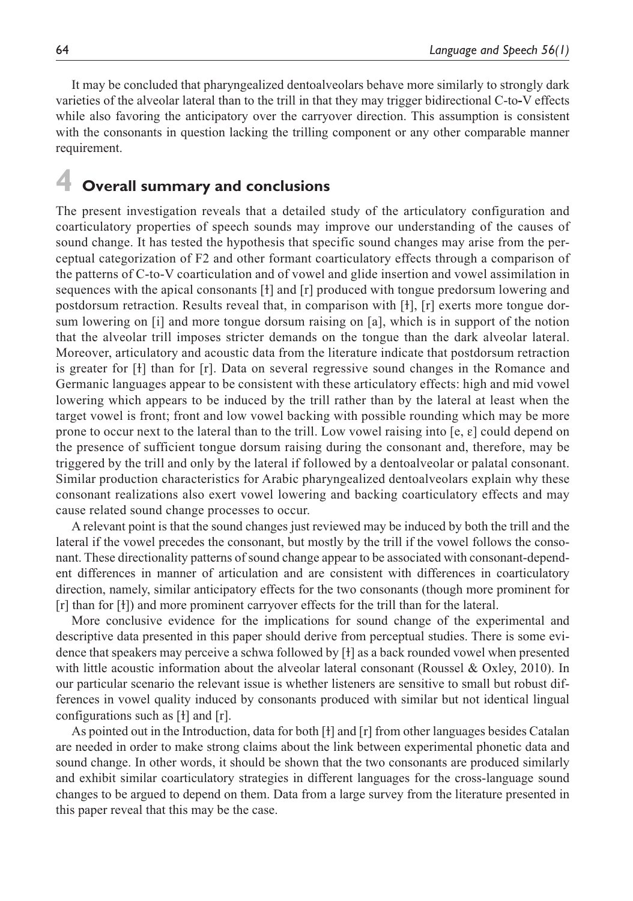It may be concluded that pharyngealized dentoalveolars behave more similarly to strongly dark varieties of the alveolar lateral than to the trill in that they may trigger bidirectional C-to**-**V effects while also favoring the anticipatory over the carryover direction. This assumption is consistent with the consonants in question lacking the trilling component or any other comparable manner requirement.

## **4 Overall summary and conclusions**

The present investigation reveals that a detailed study of the articulatory configuration and coarticulatory properties of speech sounds may improve our understanding of the causes of sound change. It has tested the hypothesis that specific sound changes may arise from the perceptual categorization of F2 and other formant coarticulatory effects through a comparison of the patterns of C-to-V coarticulation and of vowel and glide insertion and vowel assimilation in sequences with the apical consonants [ł] and [r] produced with tongue predorsum lowering and postdorsum retraction. Results reveal that, in comparison with [ɫ], [r] exerts more tongue dorsum lowering on [i] and more tongue dorsum raising on [a], which is in support of the notion that the alveolar trill imposes stricter demands on the tongue than the dark alveolar lateral. Moreover, articulatory and acoustic data from the literature indicate that postdorsum retraction is greater for [ɫ] than for [r]. Data on several regressive sound changes in the Romance and Germanic languages appear to be consistent with these articulatory effects: high and mid vowel lowering which appears to be induced by the trill rather than by the lateral at least when the target vowel is front; front and low vowel backing with possible rounding which may be more prone to occur next to the lateral than to the trill. Low vowel raising into  $[e, \varepsilon]$  could depend on the presence of sufficient tongue dorsum raising during the consonant and, therefore, may be triggered by the trill and only by the lateral if followed by a dentoalveolar or palatal consonant. Similar production characteristics for Arabic pharyngealized dentoalveolars explain why these consonant realizations also exert vowel lowering and backing coarticulatory effects and may cause related sound change processes to occur.

A relevant point is that the sound changes just reviewed may be induced by both the trill and the lateral if the vowel precedes the consonant, but mostly by the trill if the vowel follows the consonant. These directionality patterns of sound change appear to be associated with consonant-dependent differences in manner of articulation and are consistent with differences in coarticulatory direction, namely, similar anticipatory effects for the two consonants (though more prominent for [r] than for [ɫ]) and more prominent carryover effects for the trill than for the lateral.

More conclusive evidence for the implications for sound change of the experimental and descriptive data presented in this paper should derive from perceptual studies. There is some evidence that speakers may perceive a schwa followed by [ɫ] as a back rounded vowel when presented with little acoustic information about the alveolar lateral consonant (Roussel & Oxley, 2010). In our particular scenario the relevant issue is whether listeners are sensitive to small but robust differences in vowel quality induced by consonants produced with similar but not identical lingual configurations such as [ɫ] and [r].

As pointed out in the Introduction, data for both [1] and [r] from other languages besides Catalan are needed in order to make strong claims about the link between experimental phonetic data and sound change. In other words, it should be shown that the two consonants are produced similarly and exhibit similar coarticulatory strategies in different languages for the cross-language sound changes to be argued to depend on them. Data from a large survey from the literature presented in this paper reveal that this may be the case.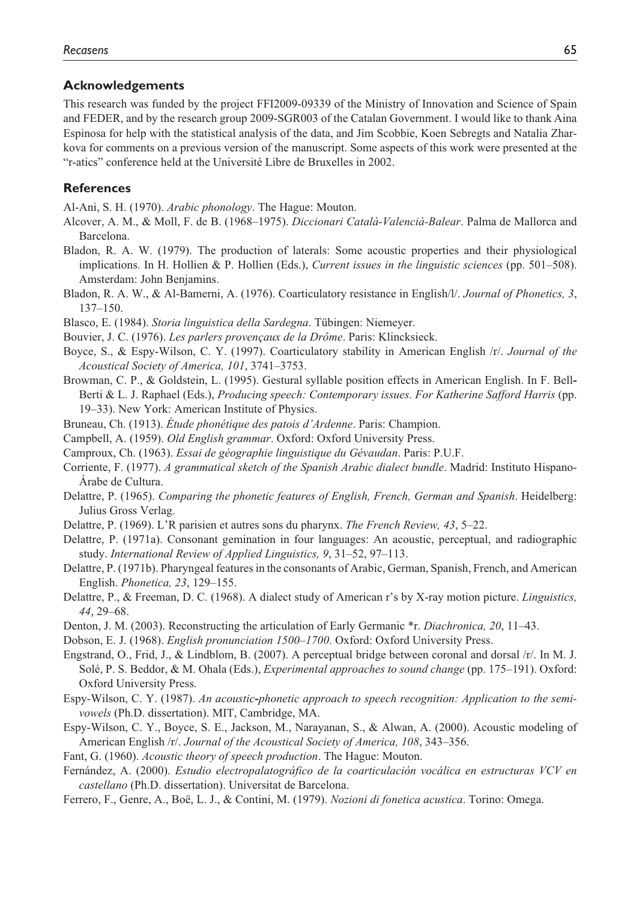#### **Acknowledgements**

This research was funded by the project FFI2009-09339 of the Ministry of Innovation and Science of Spain and FEDER, and by the research group 2009-SGR003 of the Catalan Government. I would like to thank Aina Espinosa for help with the statistical analysis of the data, and Jim Scobbie, Koen Sebregts and Natalia Zharkova for comments on a previous version of the manuscript. Some aspects of this work were presented at the "r-atics" conference held at the Université Libre de Bruxelles in 2002.

#### **References**

Al-Ani, S. H. (1970). *Arabic phonology*. The Hague: Mouton.

- Alcover, A. M., & Moll, F. de B. (1968–1975). *Diccionari Català-Valencià-Balear*. Palma de Mallorca and Barcelona.
- Bladon, R. A. W. (1979). The production of laterals: Some acoustic properties and their physiological implications. In H. Hollien & P. Hollien (Eds.), *Current issues in the linguistic sciences* (pp. 501–508). Amsterdam: John Benjamins.
- Bladon, R. A. W., & Al-Bamerni, A. (1976). Coarticulatory resistance in English/l/. *Journal of Phonetics, 3*, 137–150.

Blasco, E. (1984). *Storia linguistica della Sardegna*. Tübingen: Niemeyer.

- Bouvier, J. C. (1976). *Les parlers provençaux de la Drôme*. Paris: Klincksieck.
- Boyce, S., & Espy-Wilson, C. Y. (1997). Coarticulatory stability in American English /r/. *Journal of the Acoustical Society of America, 101*, 3741–3753.
- Browman, C. P., & Goldstein, L. (1995). Gestural syllable position effects in American English. In F. Bell**-**Berti & L. J. Raphael (Eds.), *Producing speech: Contemporary issues. For Katherine Safford Harris* (pp. 19–33). New York: American Institute of Physics.
- Bruneau, Ch. (1913). *Étude phonétique des patois d'Ardenne*. Paris: Champion.
- Campbell, A. (1959). *Old English grammar*. Oxford: Oxford University Press.
- Camproux, Ch. (1963). *Essai de géographie linguistique du Gévaudan*. Paris: P.U.F.
- Corriente, F. (1977). *A grammatical sketch of the Spanish Arabic dialect bundle*. Madrid: Instituto Hispano-Árabe de Cultura.
- Delattre, P. (1965). *Comparing the phonetic features of English, French, German and Spanish*. Heidelberg: Julius Gross Verlag.
- Delattre, P. (1969). L'R parisien et autres sons du pharynx. *The French Review, 43*, 5–22.
- Delattre, P. (1971a). Consonant gemination in four languages: An acoustic, perceptual, and radiographic study. *International Review of Applied Linguistics, 9*, 31–52, 97–113.
- Delattre, P. (1971b). Pharyngeal features in the consonants of Arabic, German, Spanish, French, and American English. *Phonetica, 23*, 129–155.
- Delattre, P., & Freeman, D. C. (1968). A dialect study of American r's by X-ray motion picture. *Linguistics, 44*, 29–68.
- Denton, J. M. (2003). Reconstructing the articulation of Early Germanic \*r. *Diachronica, 20*, 11–43.
- Dobson, E. J. (1968). *English pronunciation 1500*–*1700*. Oxford: Oxford University Press.
- Engstrand, O., Frid, J., & Lindblom, B. (2007). A perceptual bridge between coronal and dorsal /r/. In M. J. Solé, P. S. Beddor, & M. Ohala (Eds.), *Experimental approaches to sound change* (pp. 175–191). Oxford: Oxford University Press.
- Espy-Wilson, C. Y. (1987). *An acoustic***-***phonetic approach to speech recognition: Application to the semivowels* (Ph.D. dissertation). MIT, Cambridge, MA.
- Espy-Wilson, C. Y., Boyce, S. E., Jackson, M., Narayanan, S., & Alwan, A. (2000). Acoustic modeling of American English /r/. *Journal of the Acoustical Society of America, 108*, 343–356.

Fant, G. (1960). *Acoustic theory of speech production*. The Hague: Mouton.

- Fernández, A. (2000). *Estudio electropalatográfico de la coarticulación vocálica en estructuras VCV en castellano* (Ph.D. dissertation). Universitat de Barcelona.
- Ferrero, F., Genre, A., Boë, L. J., & Contini, M. (1979). *Nozioni di fonetica acustica*. Torino: Omega.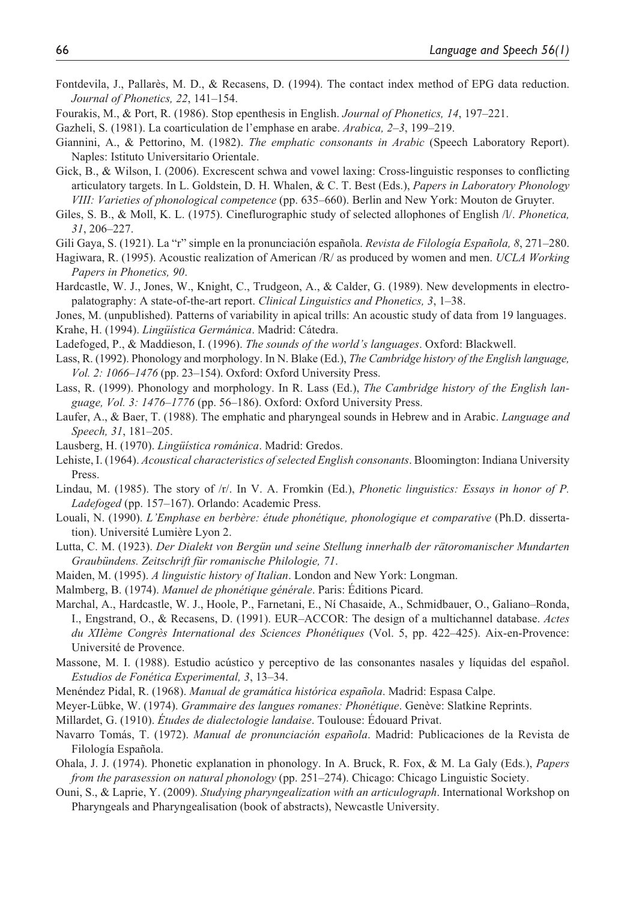Fontdevila, J., Pallarès, M. D., & Recasens, D. (1994). The contact index method of EPG data reduction. *Journal of Phonetics, 22*, 141–154.

Fourakis, M., & Port, R. (1986). Stop epenthesis in English. *Journal of Phonetics, 14*, 197–221.

- Gazheli, S. (1981). La coarticulation de l'emphase en arabe. *Arabica, 2–3*, 199–219.
- Giannini, A., & Pettorino, M. (1982). *The emphatic consonants in Arabic* (Speech Laboratory Report). Naples: Istituto Universitario Orientale.
- Gick, B., & Wilson, I. (2006). Excrescent schwa and vowel laxing: Cross-linguistic responses to conflicting articulatory targets. In L. Goldstein, D. H. Whalen, & C. T. Best (Eds.), *Papers in Laboratory Phonology VIII: Varieties of phonological competence* (pp. 635–660). Berlin and New York: Mouton de Gruyter.
- Giles, S. B., & Moll, K. L. (1975). Cineflurographic study of selected allophones of English /l/. *Phonetica, 31*, 206–227.
- Gili Gaya, S. (1921). La "r" simple en la pronunciación española. *Revista de Filología Española, 8*, 271–280.
- Hagiwara, R. (1995). Acoustic realization of American /R/ as produced by women and men. *UCLA Working Papers in Phonetics, 90*.
- Hardcastle, W. J., Jones, W., Knight, C., Trudgeon, A., & Calder, G. (1989). New developments in electropalatography: A state-of-the-art report. *Clinical Linguistics and Phonetics, 3*, 1–38.

Jones, M. (unpublished). Patterns of variability in apical trills: An acoustic study of data from 19 languages. Krahe, H. (1994). *Lingüística Germánica*. Madrid: Cátedra.

- Ladefoged, P., & Maddieson, I. (1996). *The sounds of the world's languages*. Oxford: Blackwell.
- Lass, R. (1992). Phonology and morphology. In N. Blake (Ed.), *The Cambridge history of the English language, Vol. 2: 1066–1476* (pp. 23–154). Oxford: Oxford University Press.
- Lass, R. (1999). Phonology and morphology. In R. Lass (Ed.), *The Cambridge history of the English language, Vol. 3: 1476–1776* (pp. 56–186). Oxford: Oxford University Press.
- Laufer, A., & Baer, T. (1988). The emphatic and pharyngeal sounds in Hebrew and in Arabic. *Language and Speech, 31*, 181–205.
- Lausberg, H. (1970). *Lingüística románica*. Madrid: Gredos.
- Lehiste, I. (1964). *Acoustical characteristics of selected English consonants*. Bloomington: Indiana University Press.
- Lindau, M. (1985). The story of /r/. In V. A. Fromkin (Ed.), *Phonetic linguistics: Essays in honor of P. Ladefoged* (pp. 157–167). Orlando: Academic Press.
- Louali, N. (1990). *L'Emphase en berbère: étude phonétique, phonologique et comparative* (Ph.D. dissertation). Université Lumière Lyon 2.
- Lutta, C. M. (1923). *Der Dialekt von Bergün und seine Stellung innerhalb der rätoromanischer Mundarten Graubündens. Zeitschrift für romanische Philologie, 71*.
- Maiden, M. (1995). *A linguistic history of Italian*. London and New York: Longman.
- Malmberg, B. (1974). *Manuel de phonétique générale*. Paris: Éditions Picard.
- Marchal, A., Hardcastle, W. J., Hoole, P., Farnetani, E., Ní Chasaide, A., Schmidbauer, O., Galiano–Ronda, I., Engstrand, O., & Recasens, D. (1991). EUR–ACCOR: The design of a multichannel database. *Actes du XIIème Congrès International des Sciences Phonétiques* (Vol. 5, pp. 422–425). Aix-en-Provence: Université de Provence.
- Massone, M. I. (1988). Estudio acústico y perceptivo de las consonantes nasales y líquidas del español. *Estudios de Fonética Experimental, 3*, 13–34.
- Menéndez Pidal, R. (1968). *Manual de gramática histórica española*. Madrid: Espasa Calpe.
- Meyer-Lübke, W. (1974). *Grammaire des langues romanes: Phonétique*. Genève: Slatkine Reprints.
- Millardet, G. (1910). *Études de dialectologie landaise*. Toulouse: Édouard Privat.
- Navarro Tomás, T. (1972). *Manual de pronunciación española*. Madrid: Publicaciones de la Revista de Filología Española.
- Ohala, J. J. (1974). Phonetic explanation in phonology. In A. Bruck, R. Fox, & M. La Galy (Eds.), *Papers from the parasession on natural phonology* (pp. 251–274). Chicago: Chicago Linguistic Society.
- Ouni, S., & Laprie, Y. (2009). *Studying pharyngealization with an articulograph*. International Workshop on Pharyngeals and Pharyngealisation (book of abstracts), Newcastle University.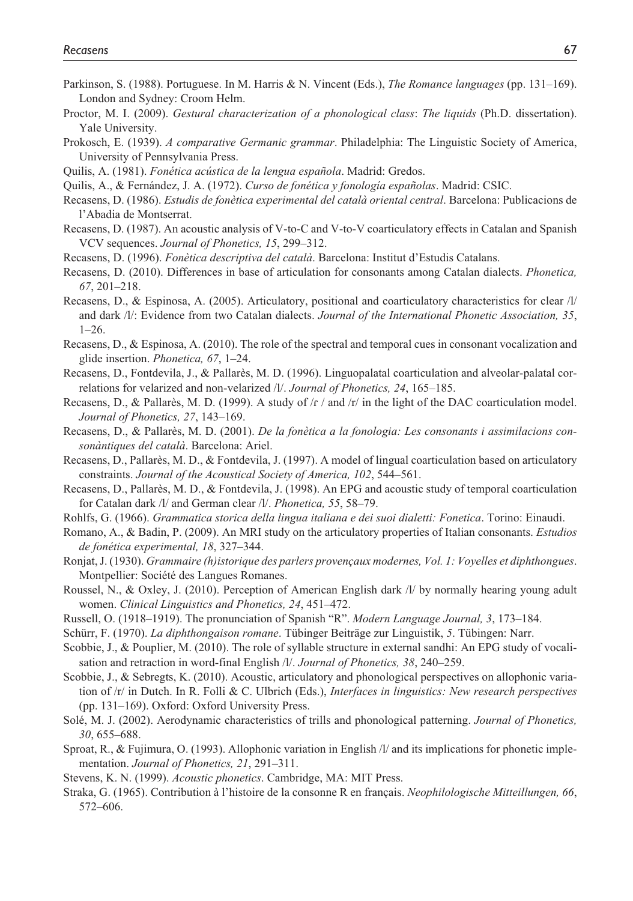- Parkinson, S. (1988). Portuguese. In M. Harris & N. Vincent (Eds.), *The Romance languages* (pp. 131–169). London and Sydney: Croom Helm.
- Proctor, M. I. (2009). *Gestural characterization of a phonological class*: *The liquids* (Ph.D. dissertation). Yale University.
- Prokosch, E. (1939). *A comparative Germanic grammar*. Philadelphia: The Linguistic Society of America, University of Pennsylvania Press.
- Quilis, A. (1981). *Fonética acústica de la lengua española*. Madrid: Gredos.
- Quilis, A., & Fernández, J. A. (1972). *Curso de fonética y fonología españolas*. Madrid: CSIC.
- Recasens, D. (1986). *Estudis de fonètica experimental del català oriental central*. Barcelona: Publicacions de l'Abadia de Montserrat.
- Recasens, D. (1987). An acoustic analysis of V-to-C and V-to-V coarticulatory effects in Catalan and Spanish VCV sequences. *Journal of Phonetics, 15*, 299–312.
- Recasens, D. (1996). *Fonètica descriptiva del català*. Barcelona: Institut d'Estudis Catalans.
- Recasens, D. (2010). Differences in base of articulation for consonants among Catalan dialects. *Phonetica, 67*, 201–218.
- Recasens, D., & Espinosa, A. (2005). Articulatory, positional and coarticulatory characteristics for clear /l/ and dark /l/: Evidence from two Catalan dialects. *Journal of the International Phonetic Association, 35*, 1–26.
- Recasens, D., & Espinosa, A. (2010). The role of the spectral and temporal cues in consonant vocalization and glide insertion. *Phonetica, 67*, 1–24.
- Recasens, D., Fontdevila, J., & Pallarès, M. D. (1996). Linguopalatal coarticulation and alveolar-palatal correlations for velarized and non-velarized /l/. *Journal of Phonetics, 24*, 165–185.
- Recasens, D., & Pallarès, M. D. (1999). A study of  $/r /$  and  $/r /$  in the light of the DAC coarticulation model. *Journal of Phonetics, 27*, 143–169.
- Recasens, D., & Pallarès, M. D. (2001). *De la fonètica a la fonologia: Les consonants i assimilacions consonàntiques del català*. Barcelona: Ariel.
- Recasens, D., Pallarès, M. D., & Fontdevila, J. (1997). A model of lingual coarticulation based on articulatory constraints. *Journal of the Acoustical Society of America, 102*, 544–561.
- Recasens, D., Pallarès, M. D., & Fontdevila, J. (1998). An EPG and acoustic study of temporal coarticulation for Catalan dark /l/ and German clear /l/. *Phonetica, 55*, 58–79.
- Rohlfs, G. (1966). *Grammatica storica della lingua italiana e dei suoi dialetti: Fonetica*. Torino: Einaudi.
- Romano, A., & Badin, P. (2009). An MRI study on the articulatory properties of Italian consonants. *Estudios de fonética experimental, 18*, 327–344.
- Ronjat, J. (1930). *Grammaire (h)istorique des parlers provençaux modernes, Vol. 1: Voyelles et diphthongues*. Montpellier: Société des Langues Romanes.
- Roussel, N., & Oxley, J. (2010). Perception of American English dark /l/ by normally hearing young adult women. *Clinical Linguistics and Phonetics, 24*, 451–472.
- Russell, O. (1918–1919). The pronunciation of Spanish "R". *Modern Language Journal, 3*, 173–184.
- Schürr, F. (1970). *La diphthongaison romane*. Tübinger Beiträge zur Linguistik, *5*. Tübingen: Narr.
- Scobbie, J., & Pouplier, M. (2010). The role of syllable structure in external sandhi: An EPG study of vocalisation and retraction in word-final English /l/. *Journal of Phonetics, 38*, 240–259.
- Scobbie, J., & Sebregts, K. (2010). Acoustic, articulatory and phonological perspectives on allophonic variation of /r/ in Dutch. In R. Folli & C. Ulbrich (Eds.), *Interfaces in linguistics: New research perspectives* (pp. 131–169). Oxford: Oxford University Press.
- Solé, M. J. (2002). Aerodynamic characteristics of trills and phonological patterning. *Journal of Phonetics, 30*, 655–688.
- Sproat, R., & Fujimura, O. (1993). Allophonic variation in English /l/ and its implications for phonetic implementation. *Journal of Phonetics, 21*, 291–311.
- Stevens, K. N. (1999). *Acoustic phonetics*. Cambridge, MA: MIT Press.
- Straka, G. (1965). Contribution à l'histoire de la consonne R en français. *Neophilologische Mitteillungen, 66*, 572–606.